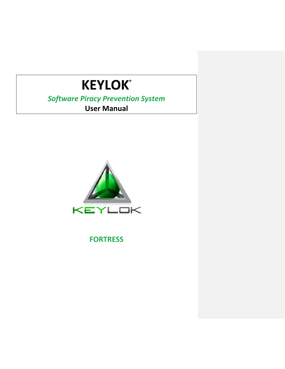# **KEYLOK®**

## *Software Piracy Prevention System* **User Manual**



**FORTRESS**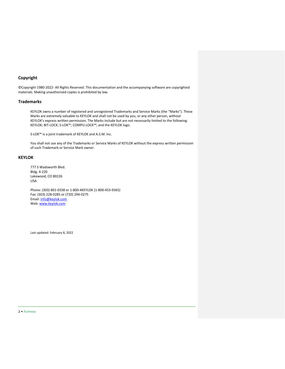## **Copyright**

©Copyright 1980-2022- All Rights Reserved. This documentation and the accompanying software are copyrighted materials. Making unauthorized copies is prohibited by law.

#### **Trademarks**

KEYLOK owns a number of registered and unregistered Trademarks and Service Marks (the "Marks"). These Marks are extremely valuable to KEYLOK and shall not be used by you, or any other person, without KEYLOK's express written permission. The Marks include but are not necessarily limited to the following: KEYLOK; BIT-LOCK; S-LOK™; COMPU-LOCK™; and the KEYLOK logo.

S-LOK™ is a joint trademark of KEYLOK and A.S.M. Inc.

You shall not use any of the Trademarks or Service Marks of KEYLOK without the express written permission of such Trademark or Service Mark owner.

#### **KEYLOK**

777 S Wadsworth Blvd. Bldg. 4-220 Lakewood, CO 80226 USA

Phone: (303) 801-0338 or 1-800-4KEYLOK (1-800-453-9365) Fax: (303) 228-0285 or (720) 294-0275 Email[: info@keylok.com](mailto:Info@keylok.com) Web: [www.keylok.com](http://www.keylok.com/)

Last updated: February 8, 2022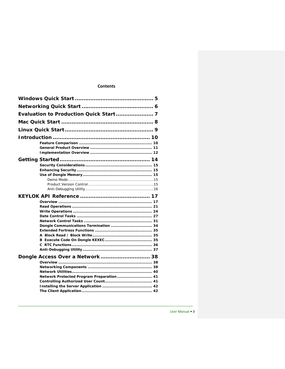## **Contents**

| Dongle Access Over a Network 38          |  |  |
|------------------------------------------|--|--|
|                                          |  |  |
|                                          |  |  |
| Network Protected Program Preparation 41 |  |  |
|                                          |  |  |
|                                          |  |  |
|                                          |  |  |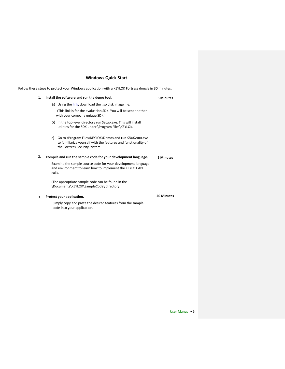## **Windows Quick Start**

<span id="page-4-0"></span>Follow these steps to protect your Windows application with a KEYLOK Fortress dongle in 30 minutes:

| 1. | Install the software and run the demo tool.                                                                                                                    | <b>5 Minutes</b> |
|----|----------------------------------------------------------------------------------------------------------------------------------------------------------------|------------------|
|    | a) Using the link, download the .iso disk image file.                                                                                                          |                  |
|    | (This link is for the evaluation SDK. You will be sent another<br>with your company unique SDK.)                                                               |                  |
|    | b) In the top-level directory run Setup.exe. This will install<br>utilities for the SDK under \Program Files\KEYLOK.                                           |                  |
|    | Go to \Program Files\KEYLOK\Demos and run SDKDemo.exe<br>C)<br>to familiarize yourself with the features and functionality of<br>the Fortress Security System. |                  |
| 2. | Compile and run the sample code for your development language.                                                                                                 | <b>5 Minutes</b> |
|    | Examine the sample source code for your development language<br>and environment to learn how to implement the KEYLOK API<br>calls.                             |                  |
|    | (The appropriate sample code can be found in the<br>\Documents\KEYLOK\SampleCode\ directory.)                                                                  |                  |
| 3. | Protect your application.                                                                                                                                      | 20 Minutes       |
|    | Simply copy and paste the desired features from the sample<br>code into your application.                                                                      |                  |

User Manual • 5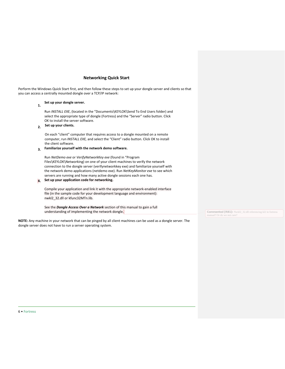## **Networking Quick Start**

<span id="page-5-0"></span>Perform the Windows Quick Start first, and then follow these steps to set up your dongle server and clients so that you can access a centrally mounted dongle over a TCP/IP network:

## **1. Set up your dongle server.**

Run *INSTALL EXE*, (located in the "Documents\KEYLOK\Send To End Users folder) and select the appropriate type of dongle (Fortress) and the "Server" radio button. Click OK to install the server software.

## **2. Set up your clients.**

On each "client" computer that requires access to a dongle mounted on a remote computer, run *INSTALL EXE,* and select the "Client" radio button. Click OK to install the client software.

## **3. Familiarize yourself with the network demo software.**

Run *NetDemo exe* or *VerifyNetworkKey exe* (found in "Program Files\KEYLOK\Networking) on one of your client machines to verify the network connection to the dongle server (verifynetworkkey exe) and familiarize yourself with the network demo applications (netdemo exe). Run *NetKeyMonitor exe* to see which servers are running and how many active dongle sessions each one has.

#### **4. Set up your application code for networking.**

Compile your application and link it with the appropriate network-enabled interface file (in the sample code for your development language and environment): nwkl2\_32.dll or kfunc32MTn.lib.

See the *Dongle Access Over a Network* section of this manual to gain a full understanding of implementing the network dongle.

**NOTE:** Any machine in your network that can be pinged by all client machines can be used as a dongle server. The dongle server does not have to run a server operating system.

**Commented [RB1]:** Nwkl2\_32.dll referencing kl2 in fortress manual? Or do we not care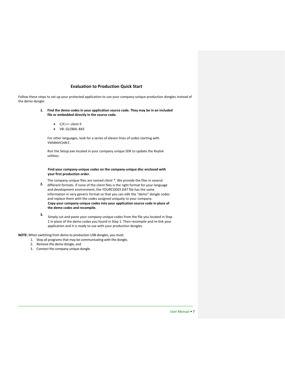#### **Evaluation to Production Quick Start**

<span id="page-6-0"></span>Follow these steps to set up your protected application to use your company-unique production dongles instead of the demo dongle:

- **1. Find the demo codes in your application source code. They may be in an included file or embedded directly in the source code.**
	- C/C++: *client h*
	- VB: *GLOBAL BAS*

For other languages, look for a series of eleven lines of codes starting with *ValidateCode1*.

Run the Setup.exe located in your company unique SDK to update the Keylok utilities.

#### **Find your company-unique codes on the company-unique disc enclosed with your first production order.**

- **2.** The company-unique files are named *client \*.* We provide the files in several different formats. If none of the client files is the right format for your language and development environment, the *YOURCODES DAT* file has the same information in very generic format so that you can edit the "demo" dongle codes and replace them with the codes assigned uniquely to your company. **Copy your company-unique codes into your application source code in place of the demo codes and recompile.**
- **3.** Simply cut and paste your company-unique codes from the file you located in Step 2 in place of the demo codes you found in Step 1. Then recompile and re-link your application and it is ready to use with your production dongles.

**NOTE:** When switching from demo to production USB dongles, you must:

- 1. Stop all programs that may be communicating with the dongle,
- 2. Remove the demo dongle, and
- 3. Connect the company unique dongle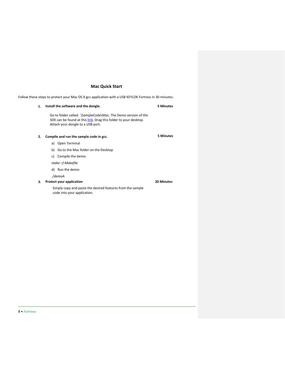## **Mac Quick Start**

<span id="page-7-0"></span>Follow these steps to protect your Mac OS X gcc application with a USB KEYLOK Fortress in 30 minutes:

| 1. | Install the software and the dongle.                                                                                                                                   | <b>5 Minutes</b>  |
|----|------------------------------------------------------------------------------------------------------------------------------------------------------------------------|-------------------|
|    | Go to folder called: \SampleCode\Mac. The Demo version of the<br>SDK can be found at this link. Drag this folder to your desktop.<br>Attach your dongle to a USB port. |                   |
| 2. | Compile and run the sample code in gcc.                                                                                                                                | 5 Minutes         |
|    | Open Terminal<br>a)                                                                                                                                                    |                   |
|    | Go to the Mac folder on the Desktop<br>b)                                                                                                                              |                   |
|    | Compile the demo:<br>C)                                                                                                                                                |                   |
|    | make -f Makefile                                                                                                                                                       |                   |
|    | Run the demo:<br>d)                                                                                                                                                    |                   |
|    | /demoA                                                                                                                                                                 |                   |
| 3. | <b>Protect your application</b>                                                                                                                                        | <b>20 Minutes</b> |
|    | Simply copy and paste the desired features from the sample<br>code into your application.                                                                              |                   |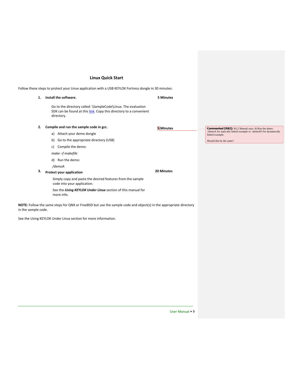## **Linux Quick Start**

<span id="page-8-0"></span>Follow these steps to protect your Linux application with a USB KEYLOK Fortress dongle in 30 minutes:

| 1. | Install the software.                                                                                                                             | <b>5 Minutes</b>  |
|----|---------------------------------------------------------------------------------------------------------------------------------------------------|-------------------|
|    | Go to the directory called: \SampleCode\Linux. The evaluation<br>SDK can be found at this link. Copy this directory to a convenient<br>directory. |                   |
| 2. | Compile and run the sample code in gcc.                                                                                                           | <b>Minutes</b>    |
|    | Attach your demo dongle<br>a)                                                                                                                     |                   |
|    | Go to the appropriate directory (USB)<br>b)                                                                                                       |                   |
|    | Compile the demo:<br>C)                                                                                                                           |                   |
|    | make -f makefile                                                                                                                                  |                   |
|    | Run the demo:<br>d)                                                                                                                               |                   |
|    | /demoA                                                                                                                                            |                   |
| 3. | Protect your application                                                                                                                          | <b>20 Minutes</b> |
|    | Simply copy and paste the desired features from the sample<br>code into your application.                                                         |                   |

**NOTE:** Follow the same steps for QNX or FreeBSD but use the sample code and object(s) in the appropriate directory in the sample code.

See the *Using KEYLOK Under Linux* section of this manual for

See the Using KEYLOK Under Linux section for more information.

more info.

**Commented [RB2]:** KL2 Manual says: d) Run the demo: ./demoA for statically linked example or .\demoSO for dynamically linked example.

Should this be the same?

User Manual • 9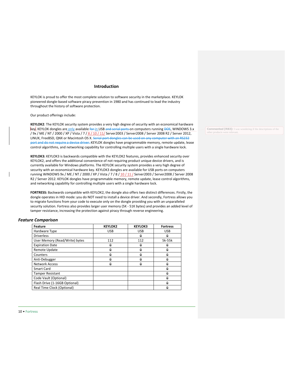#### **Introduction**

<span id="page-9-0"></span>KEYLOK is proud to offer the most complete solution to software security in the marketplace. KEYLOK pioneered dongle-based software piracy prevention in 1980 and has continued to lead the industry throughout the history of software protection.

Our product offerings include:

**KEYLOK2**: The KEYLOK security system provides a very high degree of security with an economical hardware key. KEYLOK dongles are only available for in USB and serial ports on computers running DOS, WINDOWS 3.x / 9x / ME / NT / 2000 / XP / Vista / 7 / 8 / 10 / 11/ Server2003 / Server2008 / Server 2008 R2 / Server 2012, LINUX, FreeBSD, QNX or Macintosh OS X. Serial port dongles can be used on any computer with an RS232 port and do not require a device driver. KEYLOK dongles have programmable memory, remote update, lease control algorithms, and networking capability for controlling multiple users with a single hardware lock.

**KEYLOK3:** KEYLOK3 is backwards compatible with the KEYLOK2 features, provides enhanced security over KEYLOK2, and offers the additional convenience of not requiring product unique device drivers, and is currently available for Windows platforms. The KEYLOK security system provides a very high degree of security with an economical hardware key. KEYLOK3 dongles are available for USB ports on computers running WINDOWS 9x / ME / NT / 2000 / XP / Vista / 7 / 8 / 10 / 11 / Server2003 / Server2008 / Server 2008 R2 / Server 2012. KEYLOK dongles have programmable memory, remote update, lease control algorithms, and networking capability for controlling multiple users with a single hardware lock.

**FORTRESS:** Backwards compatible with KEYLOK2, the dongle also offers two distinct differences. Firstly, the dongle operates in HID mode: you do NOT need to install a device driver. And secondly, Fortress allows you to migrate functions from your code to execute only on the dongle providing you with an unparalleled security solution. Fortress also provides larger user memory (5K - 51K bytes) and provides an added level of tamper resistance, increasing the protection against piracy through reverse engineering.

#### <span id="page-9-1"></span>*Feature Comparison*

| <b>Feature</b>                 | <b>KEYLOK2</b> | <b>KEYLOK3</b> | <b>Fortress</b> |
|--------------------------------|----------------|----------------|-----------------|
| Hardware Type                  | <b>USB</b>     | <b>USB</b>     | <b>USB</b>      |
| <b>Driverless</b>              |                | ü              | ü               |
| User Memory (Read/Write) bytes | 112            | 112            | 5k-55k          |
| <b>Expiration Date</b>         | ü              | ü              | ш               |
| Remote Update                  | <br>u          | <br>ü          | ü               |
| Counters                       | <br>ü          | ü              | ü               |
| Anti-Debugger                  | ü              | ü              | ü               |
| <b>Network Access</b>          | ü              | ü              | ü               |
| <b>Smart Card</b>              |                |                | ü               |
| <b>Tamper Resistant</b>        |                |                | ü               |
| Code Vault (Optional)          |                |                | ü               |
| Flash Drive (1-16GB Optional)  |                |                | ü               |
| Real Time Clock (Optional)     |                |                | ü               |

**Commented [RB3]:** I was wondering if the descriptions of the other products were re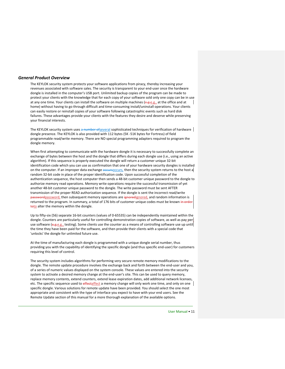#### <span id="page-10-0"></span>*General Product Overview*

The KEYLOK security system protects your software applications from piracy, thereby increasing your revenues associated with software sales. The security is transparent to your end-user once the hardware dongle is installed in the computer's USB port. Unlimited backup copies of the program can be made to protect your clients with the knowledge that for each copy of your software sold only one copy can be in use at any one time. Your clients can install the software on multiple machines (e.g.e.g., at the office and at home) without having to go through difficult and time-consuming install/uninstall operations. Your clients can easily restore or reinstall copies of your software following catastrophic events such as hard disk failures. These advantages provide your clients with the features they desire and deserve while preserving your financial interests.

The KEYLOK security system uses a number of several sophisticated techniques for verification of hardware dongle presence. The KEYLOK is also provided with 112 bytes (5K -51K bytes for Fortress) of field programmable read/write memory. There are NO special programming adapters required to program the dongle memory.

When first attempting to communicate with the hardware dongle it is necessary to successfully complete an exchange of bytes between the host and the dongle that differs during each dongle use (i.e., using an active algorithm). If this sequence is properly executed the dongle will return a customer unique 32-bit identification code which you can use as confirmation that one of your hardware security dongles is installed on the computer. If an improper data exchange **eccursoccurs**, then the security system returns to the host a random 32-bit code in place of the proper identification code. Upon successful completion of the authentication sequence, the host computer then sends a 48-bit customer unique password to the dongle to authorize memory read operations. Memory write operations require the successful transmission of yet another 48-bit customer unique password to the dongle. The write password must be sent AFTER transmission of the proper READ authorization sequence. If the dongle is sent the incorrect read/write passwordpassword, then subsequent memory operations are ignoredignored, and random information is returned to the program. In summary, a total of 176 bits of customer unique codes must be known in order toto alter the memory within the dongle.

Up to fifty-six (56) separate 16-bit counters (values of 0-65535) can be independently maintained within the dongle. Counters are particularly useful for controlling demonstration copies of software, as well as pay-per use software (e.g.e.g., testing). Some clients use the counter as a means of controlling software use up until the time they have been paid for the software, and then provide their clients with a special code that 'unlocks' the dongle for unlimited future use.

At the time of manufacturing each dongle is programmed with a unique dongle serial number, thus providing you with the capability of identifying the specific dongle (and thus specific end-user) for customers requiring this level of control.

The security system includes algorithms for performing very secure remote memory modifications to the dongle. The remote update procedure involves the exchange back and forth between the end-user and you, of a series of numeric values displayed on the system console. These values are entered into the security system to activate a desired memory change at the end-user's site. This can be used to query memory, replace memory contents, extend counters, extend lease expiration dates, add additional network licenses, etc. The specific sequence used to effectaffect a memory change will only work one time, and only on one specific dongle. Various solutions for remote update have been provided. You should select the one most appropriate and consistent with the type of interface you expect to have with your end users. See the Remote Update section of this manual for a more thorough explanation of the available options.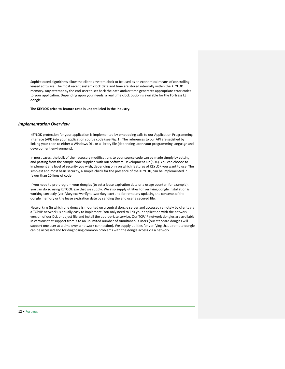Sophisticated algorithms allow the client's system clock to be used as an economical means of controlling leased software. The most recent system clock date and time are stored internally within the KEYLOK memory. Any attempt by the end-user to set back the date and/or time generates appropriate error codes to your application. Depending upon your needs, a real time clock option is available for the Fortress LS dongle.

**The KEYLOK price-to-feature ratio is unparalleled in the industry.**

#### <span id="page-11-0"></span>*Implementation Overview*

KEYLOK protection for your application is implemented by embedding calls to our Application Programming Interface (API) into your application source code (see Fig. 1). The references to our API are satisfied by linking your code to either a Windows DLL or a library file (depending upon your programming language and development environment).

In most cases, the bulk of the necessary modifications to your source code can be made simply by cutting and pasting from the sample code supplied with our Software Development Kit (SDK). You can choose to implement any level of security you wish, depending only on which features of KEYLOK you want to use. The simplest and most basic security, a simple check for the presence of the KEYLOK, can be implemented in fewer than 20 lines of code.

If you need to pre-program your dongles (to set a lease expiration date or a usage counter, for example), you can do so using KLTOOL.exe that we supply. We also supply utilities for verifying dongle installation is working correctly (verifykey.exe/verifynetworkkey.exe) and for remotely updating the contents of the dongle memory or the lease expiration date by sending the end user a secured file.

Networking (in which one dongle is mounted on a central dongle server and accessed remotely by clients via a TCP/IP network) is equally easy to implement. You only need to link your application with the network version of our DLL or object file and install the appropriate service. Our TCP/IP network dongles are available in versions that support from 3 to an unlimited number of simultaneous users (our standard dongles will support one user at a time over a network connection). We supply utilities for verifying that a remote dongle can be accessed and for diagnosing common problems with the dongle access via a network.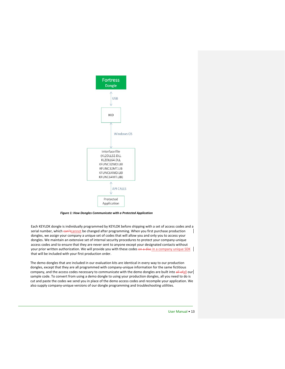

*Figure 1: How Dongles Communicate with a Protected Application*

Each KEYLOK dongle is individually programmed by KEYLOK before shipping with a set of access codes and a serial number, which can'tcannot be changed after programming. When you first purchase production dongles, we assign your company a unique set of codes that will allow you and only you to access your dongles. We maintain an extensive set of internal security procedures to protect your company-unique access codes and to ensure that they are never sent to anyone except your designated contacts without your prior written authorization. We will provide you with these codes on a disc in a company unique SDK that will be included with your first production order.

The demo dongles that are included in our evaluation kits are identical in every way to our production dongles, except that they are all programmed with company-unique information for the same fictitious company, and the access codes necessary to communicate with the demo dongles are built into all ofall our sample code. To convert from using a demo dongle to using your production dongles, all you need to do is cut and paste the codes we send you in place of the demo access codes and recompile your application. We also supply company-unique versions of our dongle programming and troubleshooting utilities.

User Manual • 13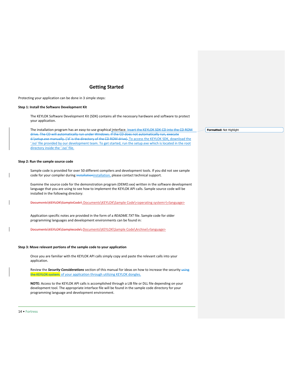## **Getting Started**

<span id="page-13-0"></span>Protecting your application can be done in 3 simple steps:

#### **Step 1: Install the Software Development Kit**

The KEYLOK Software Development Kit (SDK) contains all the necessary hardware and software to protect your application.

The installation program has an easy-to-use graphical interface. Insert the KEYLOK SDK CD into the CD ROM drive. The CD will automatically run under Windows. d*:\setup.exe* manually. ('d' is the directory of the CD ROM drive). To access the KEYLOK SDK, download the '.iso' file provided by our development team. To get started, run the setup.exe which is located in the root directory inside the '.iso' file.

#### **Step 2: Run the sample source code**

Sample code is provided for over 50 different compilers and development tools. If you did not see sample code for your compiler during installationinstallation, please contact technical support.

Examine the source code for the demonstration program (DEMO.xxx) written in the software development language that you are using to see how to implement the KEYLOK API calls. Sample source code will be installed in the following directory:

Documents\KEYLOK\SampleCode\ Documents\KEYLOK\Sample Code\<operating system>\<language>

Application specific notes are provided in the form of a *README.TXT* file. Sample code for older programming languages and development environments can be found in:

Documents\KEYLOK\Samplecode\Documents\KEYLOK\Sample Code\Archive\<language>

#### **Step 3: Move relevant portions of the sample code to your application**

Once you are familiar with the KEYLOK API calls simply copy and paste the relevant calls into your application.

Review the *Security Considerations* section of this manual for ideas on how to increase the security using the KEYLOK system. of your application through utilizing KEYLOK dongles.

**NOTE:** Access to the KEYLOK API calls is accomplished through a LIB file or DLL file depending on your development tool. The appropriate interface file will be found in the sample code directory for your programming language and development environment.

14 • Fortress

**Formatted:** Not Highlight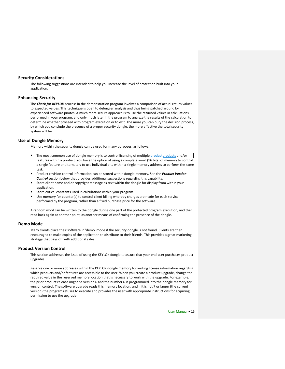#### <span id="page-14-0"></span>**Security Considerations**

The following suggestions are intended to help you increase the level of protection built into your application.

#### <span id="page-14-1"></span>**Enhancing Security**

The *Check for KEYLOK* process in the demonstration program involves a comparison of actual return values to expected values. This technique is open to debugger analysis and thus being patched around by experienced software pirates. A much more secure approach is to use the returned values in calculations performed in your program, and only much later in the program to analyze the results of the calculation to determine whether proceed with program execution or to exit. The more you can bury the decision process, by which you conclude the presence of a proper security dongle, the more effective the total security system will be.

#### <span id="page-14-2"></span>**Use of Dongle Memory**

Memory within the security dongle can be used for many purposes, as follows:

- The most common use of dongle memory is to control licensing of multiple products and/or The most common use of dongle memory is to control licensing of multiple products and/or features within a product. You have the option of using a complete word (16 bits) of memory to control a single feature or alternately to use individual bits within a single memory address to perform the same task.
- Product revision control information can be stored within dongle memory. See the *Product Version Control* section below that provides additional suggestions regarding this capability.
- \* Store client name and or copyright message as text within the dongle for display from within your application.
- Store critical constants used in calculations within your program.
- Use memory for counter(s) to control client billing whereby charges are made for each service performed by the program, rather than a fixed purchase price for the software.

A random word can be written to the dongle during one part of the protected program execution, and then read back again at another point, as another means of confirming the presence of the dongle.

#### <span id="page-14-3"></span>**Demo Mode**

Many clients place their software in 'demo' mode if the security dongle is not found. Clients are then encouraged to make copies of the application to distribute to their friends. This provides a great marketing strategy that pays off with additional sales.

#### <span id="page-14-4"></span>**Product Version Control**

This section addresses the issue of using the KEYLOK dongle to assure that your end-user purchases product upgrades.

Reserve one or more addresses within the KEYLOK dongle memory for writing license information regarding which products and/or features are accessible to the user. When you create a product upgrade, change the required value in the reserved memory location that is necessary to work with the upgrade. For example, the prior product release might be version 6 and the number 6 is programmed into the dongle memory for version control. The software upgrade reads this memory location, and if it is not 7 or larger (the current version) the program refuses to execute and provides the user with appropriate instructions for acquiring permission to use the upgrade.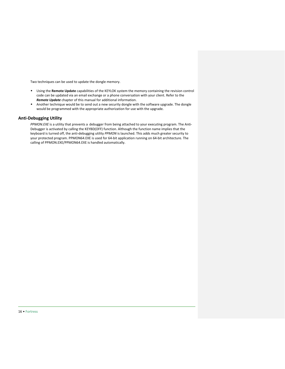Two techniques can be used to update the dongle memory.

- Using the **Remote Update** capabilities of the KEYLOK system the memory containing the revision control code can be updated via an email exchange or a phone conversation with your client. Refer to the *Remote Update* chapter of this manual for additional information.
- \* Another technique would be to send out a new security dongle with the software upgrade. The dongle would be programmed with the appropriate authorization for use with the upgrade.

## <span id="page-15-0"></span>**Anti-Debugging Utility**

*PPMON.EXE* is a utility that prevents a debugger from being attached to your executing program. The Anti-Debugger is activated by calling the KEYBD(OFF) function. Although the function name implies that the keyboard is turned off, the anti-debugging utility *PPMON* is launched. This adds much greater security to your protected program. PPMON64.EXE is used for 64-bit application running on 64-bit architecture. The calling of PPMON.EXE/PPMON64.EXE is handled automatically.

16 • Fortress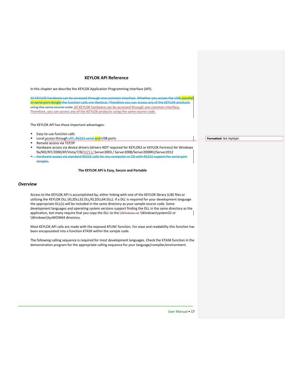#### **KEYLOK API Reference**

<span id="page-16-0"></span>In this chapter we describe the KEYLOK Application Programming Interface (API).

All KEYLOK hardware can be accessed through one common interface. Whether you access the USB<mark>, paralle</mark> or serial port dongle the function calls are identical. Therefore you can access any of the KEYLOK products using the same source code. All KEYLOK hardware can be accessed through one common interface. Therefore, you can access any of the KEYLOK products using the same source code.

The KEYLOK API has these important advantages:

- Easy-to-use function calls
- Local access through LPT, RS232 serial and USB ports
- Remote access via TCP/IP
- Hardware access via device drivers (drivers NOT required for KEYLOK3 or KEYLOK Fortress) for Windows 9x/ME/NT/2000/XP/Vista/7/8/10/11/ Server2003 / Server2008/Server2008R2/Server2012
- Hardware access via standard RS232 calls for any computer or OS with RS232 support for serial port dongles.

#### **The KEYLOK API is Easy, Secure and Portable**

#### <span id="page-16-1"></span>*Overview*

Access to the KEYLOK API is accomplished by, either linking with one of the KEYLOK library (LIB) files or utilizing the KEYLOK DLL (KL2DLL32.DLL/KL2DLL64.DLL). If a DLL is required for your development language the appropriate DLL(s) will be included in the same directory as your sample source code. Some development languages and operating system versions support finding the DLL in the same directory as the application, but many require that you copy the DLL to the \Windows or \Windows\system32 or \Windows\SysWOW64 directory.

Most KEYLOK API calls are made with the exposed *KFUNC* function. For ease and readability this function has been encapsulated into a function *KTASK* within the sample code.

The following calling sequence is required for most development languages. Check the KTASK function in the demonstration program for the appropriate calling sequence for your language/compiler/environment.

**Formatted:** Not Highlight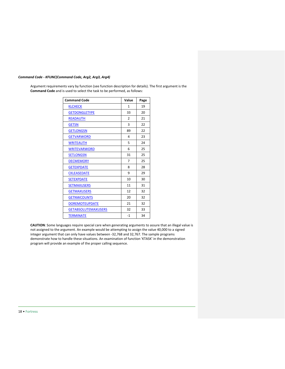## *Command Code - KFUNC(Command Code, Arg2, Arg3, Arg4)*

Argument requirements vary by function (see function description for details). The first argument is the **Command Code** and is used to select the task to be performed, as follows:

| <b>Command Code</b>        | Value          | Page |
|----------------------------|----------------|------|
| <b>KLCHECK</b>             | 1              | 19   |
| <b>GETDONGLETYPE</b>       | 33             | 20   |
| <b>READAUTH</b>            | $\overline{2}$ | 21   |
| <b>GETSN</b>               | 3              | 22   |
| <b>GETLONGSN</b>           | 89             | 22   |
| <b>GETVARWORD</b>          | 4              | 23   |
| <b>WRITEAUTH</b>           | 5              | 24   |
| <b>WRITEVARWORD</b>        | 6              | 25   |
| <b>SETLONGSN</b>           | 31             | 25   |
| <b>DECMEMORY</b>           | 7              | 25   |
| <b>GETEXPDATE</b>          | 8              | 28   |
| <b>CKLEASEDATE</b>         | 9              | 29   |
| <b>SETEXPDATE</b>          | 10             | 30   |
| <b>SETMAXUSERS</b>         | 11             | 31   |
| <b>GETMAXUSERS</b>         | 12             | 32   |
| <b>GETNWCOUNTS</b>         | 20             | 32   |
| <b>DOREMOTEUPDATE</b>      | 21             | 32   |
| <b>GETABSOLUTEMAXUSERS</b> | 32             | 33   |
| <b>TERMINATE</b>           | $-1$           | 34   |

**CAUTION**: Some languages require special care when generating arguments to assure that an illegal value is not assigned to the argument. An example would be attempting to assign the value 40,000 to a signed integer argument that can only have values between -32,768 and 32,767. The sample programs demonstrate how to handle these situations. An examination of function 'KTASK' in the demonstration program will provide an example of the proper calling sequence.

18 • Fortress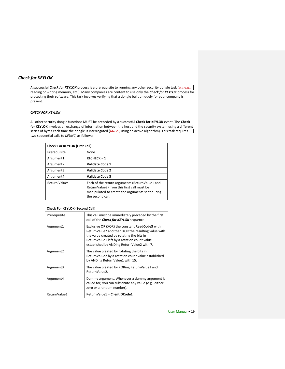## <span id="page-18-0"></span>*Check for KEYLOK*

A successful *Check for KEYLOK* process is a prerequisite to running any other security dongle task (e.g.e.g., | reading or writing memory, etc.). Many companies are content to use only the *Check for KEYLOK* process for protecting their software. This task involves verifying that a dongle built uniquely for your company is present.

#### *CHECK FOR KEYLOK*

All other security dongle functions MUST be preceded by a successful **Check for KEYLOK** event. The **Check for KEYLOK** involves an exchange of information between the host and the security system using a different series of bytes each time the dongle is interrogated (i.e.i.e., using an active algorithm). This task requires  $\|$ two sequential calls to *KFUNC*, as follows:

| <b>Check For KEYLOK (First Call)</b> |                                                                                                                                                                     |  |
|--------------------------------------|---------------------------------------------------------------------------------------------------------------------------------------------------------------------|--|
| Prerequisite                         | None                                                                                                                                                                |  |
| Argument1                            | KLCHECK = 1                                                                                                                                                         |  |
| Argument <sub>2</sub>                | Validate Code 1                                                                                                                                                     |  |
| Argument3                            | <b>Validate Code 2</b>                                                                                                                                              |  |
| Argument4                            | <b>Validate Code 3</b>                                                                                                                                              |  |
| <b>Return Values</b>                 | Each of the return arguments (ReturnValue1 and<br>ReturnValue2) from this first call must be<br>manipulated to create the arguments sent during<br>the second call. |  |

| <b>Check For KEYLOK (Second Call)</b> |                                                                                                                                                                                                                                                       |  |
|---------------------------------------|-------------------------------------------------------------------------------------------------------------------------------------------------------------------------------------------------------------------------------------------------------|--|
| Prerequisite                          | This call must be immediately preceded by the first<br>call of the <i>Check for KEYLOK</i> sequence                                                                                                                                                   |  |
| Argument1                             | Exclusive OR (XOR) the constant <b>ReadCode3</b> with<br>ReturnValue2 and then XOR the resulting value with<br>the value created by rotating the bits in<br>ReturnValue1 left by a rotation count value<br>established by ANDing ReturnValue2 with 7. |  |
| Argument <sub>2</sub>                 | The value created by rotating the bits in<br>ReturnValue2 by a rotation count value established<br>by ANDing ReturnValue1 with 15.                                                                                                                    |  |
| Argument3                             | The value created by XORing ReturnValue1 and<br>ReturnValue2.                                                                                                                                                                                         |  |
| Argument4                             | Dummy argument. Whenever a dummy argument is<br>called for, you can substitute any value (e.g., either<br>zero or a random number).                                                                                                                   |  |
| ReturnValue1                          | ReturnValue1 = ClientIDCode1                                                                                                                                                                                                                          |  |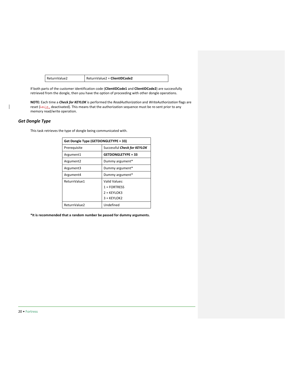| ReturnValue2 | ReturnValue2 = ClientIDCode2 |
|--------------|------------------------------|
|--------------|------------------------------|

If both parts of the customer identification code (**ClientIDCode1** and **ClientIDCode2**) are successfully retrieved from the dongle, then you have the option of proceeding with other dongle operations.

**NOTE:** Each time a *Check for KEYLOK* is performed the *ReadAuthorization* and *WriteAuthorization* flags are reset (i.e.i.e., deactivated). This means that the authorization sequence must be re-sent prior to any memory read/write operation.

## <span id="page-19-0"></span>*Get Dongle Type*

This task retrieves the type of dongle being communicated with.

| Get Dongle Type (GETDONGLETYPE = 33) |                             |  |
|--------------------------------------|-----------------------------|--|
| Prereguisite                         | Successful Check for KEYLOK |  |
| Argument1                            | <b>GETDONGLETYPE = 33</b>   |  |
| Argument <sub>2</sub>                | Dummy argument*             |  |
| Argument3                            | Dummy argument*             |  |
| Argument4                            | Dummy argument*             |  |
| ReturnValue1                         | Valid Values:               |  |
|                                      | $1 = FORTRES$               |  |
|                                      | $2 = K EYLOK3$              |  |
|                                      | $3 = KFYLOK2$               |  |
| ReturnValue2                         | Undefined                   |  |

**\*It is recommended that a random number be passed for dummy arguments.**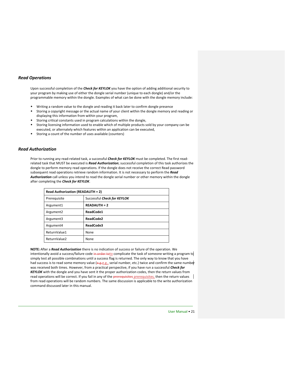#### <span id="page-20-0"></span>*Read Operations*

Upon successful completion of the *Check for KEYLOK* you have the option of adding additional security to your program by making use of either the dongle serial number (unique to each dongle) and/or the programmable memory within the dongle. Examples of what can be done with the dongle memory include:

- Writing a random value to the dongle and reading it back later to confirm dongle presence
- \* Storing a copyright message or the actual name of your client within the dongle memory and reading or displaying this information from within your program,
- Storing critical constants used in program calculations within the dongle,
- Storing licensing information used to enable which of multiple products sold by your company can be executed, or alternately which features within an application can be executed,
- Storing a count of the number of uses available (counters)

#### <span id="page-20-2"></span><span id="page-20-1"></span>*Read Authorization*

Prior to running any read-related task, a successful *Check for KEYLOK* must be completed. The first readrelated task that MUST be executed is *Read Authorization*; successful completion of this task authorizes the dongle to perform memory read operations. If the dongle does not receive the correct Read password subsequent read operations retrieve random information. It is not necessary to perform the *Read Authorization* call unless you intend to read the dongle serial number or other memory within the dongle after completing the *Check for KEYLOK*.

| <b>Read Authorization (READAUTH = 2)</b> |                             |
|------------------------------------------|-----------------------------|
| Prerequisite                             | Successful Check for KEYLOK |
| Argument1                                | <b>READAUTH = 2</b>         |
| Argument <sub>2</sub>                    | ReadCode1                   |
| Argument3                                | ReadCode2                   |
| Argument4                                | ReadCode3                   |
| ReturnValue1                             | None                        |
| ReturnValue2                             | None                        |

**NOTE:** After a *Read Authorization* there is no indication of success or failure of the operation. We intentionally avoid a success/failure code in order toto complicate the task of someone writing a program to simply test all possible combinations until a success flag is returned. The only way to know that you have had success is to read some memory value (e.g.e.g., serial number, etc.) twice and confirm the same number was received both times. However, from a practical perspective, if you have run a successful *Check for KEYLOK* with the dongle and you have sent it the proper authorization codes, then the return values from read operations will be correct. If you fail in any of the prerequisites prerequisites, then the return values from read operations will be random numbers. The same discussion is applicable to the write authorization command discussed later in this manual.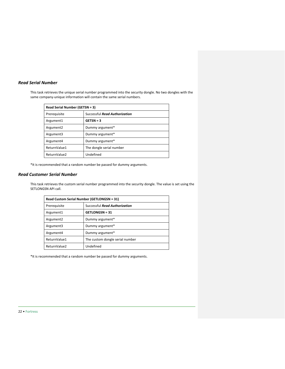## <span id="page-21-0"></span>*Read Serial Number*

This task retrieves the unique serial number programmed into the security dongle. No two dongles with the same company-unique information will contain the same serial numbers.

| Read Serial Number (GETSN = 3) |                               |
|--------------------------------|-------------------------------|
| Prerequisite                   | Successful Read Authorization |
| Argument1                      | $GETSN = 3$                   |
| Argument <sub>2</sub>          | Dummy argument*               |
| Argument3                      | Dummy argument*               |
| Argument4                      | Dummy argument*               |
| ReturnValue1                   | The dongle serial number      |
| ReturnValue2                   | Undefined                     |

\*It is recommended that a random number be passed for dummy arguments.

## <span id="page-21-1"></span>*Read Customer Serial Number*

This task retrieves the custom serial number programmed into the security dongle. The value is set using the SETLONGSN API call.

| Read Custom Serial Number (GETLONGSN = 31) |                                 |
|--------------------------------------------|---------------------------------|
| Prerequisite                               | Successful Read Authorization   |
| Argument1                                  | <b>GETLONGSN = 31</b>           |
| Argument <sub>2</sub>                      | Dummy argument*                 |
| Argument3                                  | Dummy argument*                 |
| Argument4                                  | Dummy argument*                 |
| ReturnValue1                               | The custom dongle serial number |
| ReturnValue2                               | Undefined                       |

<span id="page-21-2"></span>\*It is recommended that a random number be passed for dummy arguments.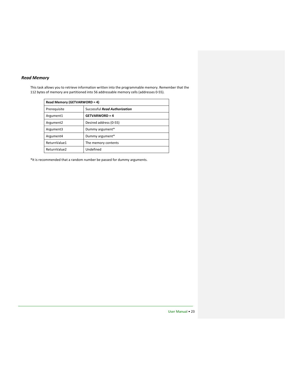## *Read Memory*

This task allows you to retrieve information written into the programmable memory. Remember that the 112 bytes of memory are partitioned into 56 addressable memory cells (addresses 0-55).

| Read Memory (GETVARWORD = 4) |                               |
|------------------------------|-------------------------------|
| Prereguisite                 | Successful Read Authorization |
| Argument1                    | <b>GETVARWORD = 4</b>         |
| Argument <sub>2</sub>        | Desired address (0-55)        |
| Argument3                    | Dummy argument*               |
| Argument4                    | Dummy argument*               |
| ReturnValue1                 | The memory contents           |
| ReturnValue2                 | Undefined                     |

\*It is recommended that a random number be passed for dummy arguments.

User Manual • 23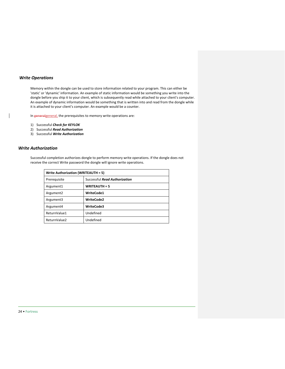## <span id="page-23-0"></span>*Write Operations*

Memory within the dongle can be used to store information related to your program. This can either be 'static' or 'dynamic' information. An example of static information would be something you write into the dongle before you ship it to your client, which is subsequently read while attached to your client's computer. An example of dynamic information would be something that is written into and read from the dongle while it is attached to your client's computer. An example would be a counter.

In generalgeneral, the prerequisites to memory write operations are:

- 1) Successful *Check for KEYLOK*
- 2) Successful *Read Authorization*
- 3) Successful *Write Authorization*

#### <span id="page-23-2"></span><span id="page-23-1"></span>*Write Authorization*

Successful completion authorizes dongle to perform memory write operations. If the dongle does not receive the correct Write password the dongle will ignore write operations.

<span id="page-23-3"></span>

| Write Authorization (WRITEAUTH = 5) |                               |
|-------------------------------------|-------------------------------|
| Prerequisite                        | Successful Read Authorization |
| Argument1                           | <b>WRITEAUTH = 5</b>          |
| Argument <sub>2</sub>               | <b>WriteCode1</b>             |
| Argument3                           | <b>WriteCode2</b>             |
| Argument4                           | <b>WriteCode3</b>             |
| ReturnValue1                        | Undefined                     |
| ReturnValue2                        | Undefined                     |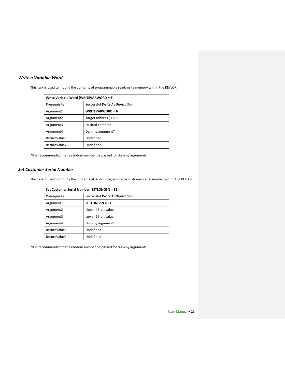## <span id="page-24-0"></span>*Write a Variable Word*

This task is used to modify the contents of programmable read/write memory within the KEYLOK.

| Write Variable Word (WRITEVARWORD = 6) |                                |
|----------------------------------------|--------------------------------|
| Prereguisite                           | Successful Write Authorization |
| Argument1                              | <b>WRITEVARWORD = 6</b>        |
| Argument <sub>2</sub>                  | Target address (0-55)          |
| Argument3                              | Desired contents               |
| Argument4                              | Dummy argument*                |
| ReturnValue1                           | Undefined                      |
| ReturnValue2                           | Undefined                      |

\*It is recommended that a random number be passed for dummy arguments.

## <span id="page-24-3"></span><span id="page-24-2"></span><span id="page-24-1"></span>*Set Customer Serial Number*

This task is used to modify the contents of 32-bit programmable customer serial number within the KEYLOK.

| Set Customer Serial Number (SETLONGSN = 31) |                                |
|---------------------------------------------|--------------------------------|
| Prerequisite                                | Successful Write Authorization |
| Argument1                                   | <b>SETLONGSN = 31</b>          |
| Argument <sub>2</sub>                       | Upper 16-bit value             |
| Argument3                                   | Lower 16-bit value             |
| Argument4                                   | Dummy argument*                |
| ReturnValue1                                | Undefined                      |
| ReturnValue2                                | Undefined                      |

\*It is recommended that a random number be passed for dummy arguments.

User Manual • 25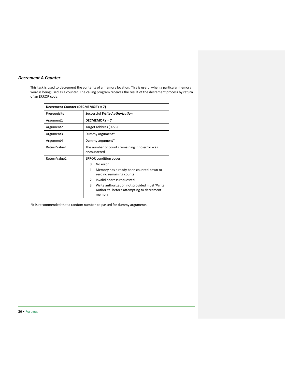## *Decrement A Counter*

This task is used to decrement the contents of a memory location. This is useful when a particular memory word is being used as a counter. The calling program receives the result of the decrement process by return of an ERROR code.

| Decrement Counter (DECMEMORY = 7) |                                                                                                          |
|-----------------------------------|----------------------------------------------------------------------------------------------------------|
| Prerequisite                      | Successful Write Authorization                                                                           |
| Argument1                         | <b>DECMEMORY = 7</b>                                                                                     |
| Argument <sub>2</sub>             | Target address (0-55)                                                                                    |
| Argument3                         | Dummy argument*                                                                                          |
| Argument4                         | Dummy argument*                                                                                          |
| ReturnValue1                      | The number of counts remaining if no error was<br>encountered                                            |
| ReturnValue2                      | <b>ERROR</b> condition codes:                                                                            |
|                                   | No error<br>0                                                                                            |
|                                   | 1<br>Memory has already been counted down to<br>zero no remaining counts                                 |
|                                   | $\overline{2}$<br>Invalid address requested                                                              |
|                                   | 3<br>Write authorization not provided must 'Write<br>Authorize' before attempting to decrement<br>memory |

<span id="page-25-0"></span>\*It is recommended that a random number be passed for dummy arguments.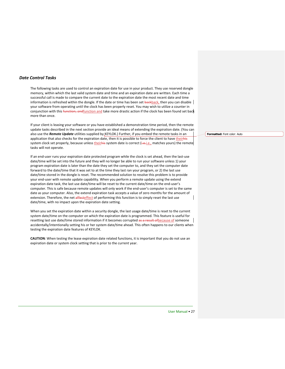#### <span id="page-26-0"></span>*Date Control Tasks*

The following tasks are used to control an expiration date for use in your product. They use reserved dongle memory, within which the last valid system date and time and an expiration date are written. Each time a successful call is made to compare the current date to the expiration date the most recent date and time information is refreshed within the dongle. If the date or time has been set backback, then you can disable your software from operating until the clock has been properly reset. You may wish to utilize a counter in conjunction with this function, andfunction and take more drastic action if the clock has been found set back more than once.

If your client is leasing your software or you have established a demonstration time period, then the remote update tasks described in the next section provide an ideal means of extending the expiration date. (You can also use the *Remote Update* utilities supplied by KEYLOK.) Further, if you embed the remote tasks in an application that also checks for the expiration date, then it is possible to force the client to have theirhis system clock set properly, because unless theirhis system date is correct (i.e.-i.e., matches yours) the remote tasks will not operate.

If an end-user runs your expiration date protected program while the clock is set ahead, then the last-use date/time will be set into the future and they will no longer be able to run your software unless 1) your program expiration date is later than the date they set the computer to, and they set the computer date forward to the date/time that it was set to at the time they last ran your program, or 2) the last use date/time stored in the dongle is reset. The recommended solution to resolve this problem is to provide your end-user with remote update capability. When you perform a remote update using the extend expiration date task, the last use date/time will be reset to the current date/time on the end-user's computer. This is safe because remote updates will only work if the end-user's computer is set to the same date as your computer. Also, the extend expiration task accepts a value of zero months for the amount of extension. Therefore, the net affecteffect of performing this function is to simply reset the last use date/time, with no impact upon the expiration date setting.

When you set the expiration date within a security dongle, the last usage date/time is reset to the current system date/time on the computer on which the expiration date is programmed. This feature is useful for resetting last use date/time stored information if it becomes corrupted as a result of because of someone accidentally/intentionally setting his or her system date/time ahead. This often happens to our clients when testing the expiration date features of KEYLOK.

**CAUTION**: When testing the lease expiration date related functions, it is important that you do not use an expiration date or system clock setting that is prior to the current year.

**Formatted:** Font color: Auto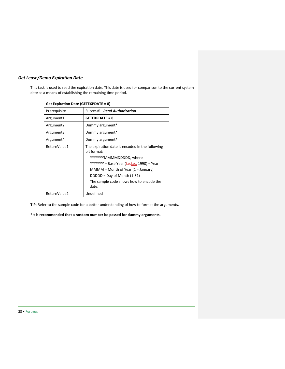## <span id="page-27-0"></span>*Get Lease/Demo Expiration Date*

This task is used to read the expiration date. This date is used for comparison to the current system date as a means of establishing the remaining time period.

| Get Expiration Date (GETEXPDATE = 8) |                                                                |
|--------------------------------------|----------------------------------------------------------------|
| Prerequisite                         | Successful <b>Read Authorization</b>                           |
| Argument1                            | <b>GETEXPDATE = 8</b>                                          |
| Argument <sub>2</sub>                | Dummy argument*                                                |
| Argument3                            | Dummy argument*                                                |
| Argument4                            | Dummy argument*                                                |
| ReturnValue1                         | The expiration date is encoded in the following<br>hit format: |
|                                      | YYYYYYYMMMMDDDDD, where                                        |
|                                      | YYYYYYY + Base Year ( <del>i.e.</del> i.e., 1990) = Year       |
|                                      | $MMMM = Month of Year (1 = January)$                           |
|                                      | $DDDD = Day of Month (1-31)$                                   |
|                                      | The sample code shows how to encode the<br>date.               |
| ReturnValue2                         | Undefined                                                      |

**TIP**: Refer to the sample code for a better understanding of how to format the arguments.

**\*It is recommended that a random number be passed for dummy arguments.**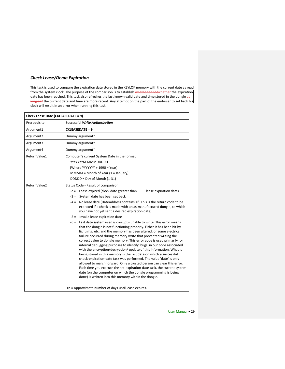## <span id="page-28-0"></span>*Check Lease/Demo Expiration*

This task is used to compare the expiration date stored in the KEYLOK memory with the current date as read from the system clock. The purpose of the comparison is to establish whether or notwhether the expiration date has been reached. This task also refreshes the last known valid date and time stored in the dongle as long asif the current date and time are more recent. Any attempt on the part of the end-user to set back his clock will result in an error when running this task.

| Check Lease Date (CKLEASEDATE = 9) |                                                                                                                                                                                                                                                                                                                                                                                                                                                                                                                                                                                                                                                                                                                                                                                                                                                                                                                                                   |  |
|------------------------------------|---------------------------------------------------------------------------------------------------------------------------------------------------------------------------------------------------------------------------------------------------------------------------------------------------------------------------------------------------------------------------------------------------------------------------------------------------------------------------------------------------------------------------------------------------------------------------------------------------------------------------------------------------------------------------------------------------------------------------------------------------------------------------------------------------------------------------------------------------------------------------------------------------------------------------------------------------|--|
| Prerequisite                       | Successful Write Authorization                                                                                                                                                                                                                                                                                                                                                                                                                                                                                                                                                                                                                                                                                                                                                                                                                                                                                                                    |  |
| Argument1                          | <b>CKLEASEDATE = 9</b>                                                                                                                                                                                                                                                                                                                                                                                                                                                                                                                                                                                                                                                                                                                                                                                                                                                                                                                            |  |
| Argument2                          | Dummy argument*                                                                                                                                                                                                                                                                                                                                                                                                                                                                                                                                                                                                                                                                                                                                                                                                                                                                                                                                   |  |
| Argument3                          | Dummy argument*                                                                                                                                                                                                                                                                                                                                                                                                                                                                                                                                                                                                                                                                                                                                                                                                                                                                                                                                   |  |
| Argument4                          | Dummy argument*                                                                                                                                                                                                                                                                                                                                                                                                                                                                                                                                                                                                                                                                                                                                                                                                                                                                                                                                   |  |
| ReturnValue1                       | Computer's current System Date in the format                                                                                                                                                                                                                                                                                                                                                                                                                                                                                                                                                                                                                                                                                                                                                                                                                                                                                                      |  |
|                                    | YYYYYYYM MMMDDDDD                                                                                                                                                                                                                                                                                                                                                                                                                                                                                                                                                                                                                                                                                                                                                                                                                                                                                                                                 |  |
|                                    | (Where YYYYYYY + 1990 = Year)                                                                                                                                                                                                                                                                                                                                                                                                                                                                                                                                                                                                                                                                                                                                                                                                                                                                                                                     |  |
|                                    | $MMMM = Month of Year (1 = January)$                                                                                                                                                                                                                                                                                                                                                                                                                                                                                                                                                                                                                                                                                                                                                                                                                                                                                                              |  |
|                                    | DDDDD = Day of Month (1-31)                                                                                                                                                                                                                                                                                                                                                                                                                                                                                                                                                                                                                                                                                                                                                                                                                                                                                                                       |  |
| ReturnValue2                       | Status Code - Result of comparison                                                                                                                                                                                                                                                                                                                                                                                                                                                                                                                                                                                                                                                                                                                                                                                                                                                                                                                |  |
|                                    | $-2 =$ Lease expired (clock date greater than<br>lease expiration date)                                                                                                                                                                                                                                                                                                                                                                                                                                                                                                                                                                                                                                                                                                                                                                                                                                                                           |  |
|                                    | -3 = System date has been set back                                                                                                                                                                                                                                                                                                                                                                                                                                                                                                                                                                                                                                                                                                                                                                                                                                                                                                                |  |
|                                    | $-4 =$ No lease date (DateAddress contains '0'. This is the return code to be<br>expected if a check is made with an as-manufactured dongle, to which<br>you have not yet sent a desired expiration date)                                                                                                                                                                                                                                                                                                                                                                                                                                                                                                                                                                                                                                                                                                                                         |  |
|                                    | -5 = Invalid lease expiration date                                                                                                                                                                                                                                                                                                                                                                                                                                                                                                                                                                                                                                                                                                                                                                                                                                                                                                                |  |
|                                    | $-6$ = Last date system used is corrupt - unable to write. This error means<br>that the dongle is not functioning properly. Either it has been hit by<br>lightning, etc. and the memory has been altered, or some electrical<br>failure occurred during memory write that prevented writing the<br>correct value to dongle memory. This error code is used primarily for<br>internal debugging purposes to identify 'bugs' in our code associated<br>with the encryption/decryption/ update of this information. What is<br>being stored in this memory is the last date on which a successful<br>check-expiration-date task was performed. The value 'date' is only<br>allowed to march forward. Only a trusted person can clear this error.<br>Each time you execute the set-expiration-date task, the current system<br>date (on the computer on which the dongle programming is being<br>done) is written into this memory within the dongle. |  |
|                                    | +n = Approximate number of days until lease expires.                                                                                                                                                                                                                                                                                                                                                                                                                                                                                                                                                                                                                                                                                                                                                                                                                                                                                              |  |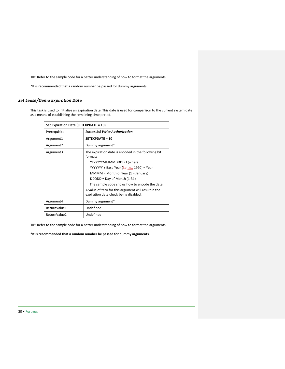**TIP**: Refer to the sample code for a better understanding of how to format the arguments.

\*It is recommended that a random number be passed for dummy arguments.

## <span id="page-29-1"></span><span id="page-29-0"></span>*Set Lease/Demo Expiration Date*

This task is used to initialize an expiration date. This date is used for comparison to the current system date as a means of establishing the remaining time period.

| Set Expiration Date (SETEXPDATE = 10) |                                                                                               |
|---------------------------------------|-----------------------------------------------------------------------------------------------|
| Prerequisite                          | Successful Write Authorization                                                                |
| Argument1                             | $SFTFXPDATE = 10$                                                                             |
| Argument <sub>2</sub>                 | Dummy argument*                                                                               |
| Argument3                             | The expiration date is encoded in the following bit<br>format:                                |
|                                       | YYYYYYYMMMMDDDDD (where                                                                       |
|                                       | YYYYYYY + Base Year ( <del>i.e.</del> i.e., 1990) = Year                                      |
|                                       | $MMMM = Month$ of Year (1 = January)                                                          |
|                                       | DDDDD = Day of Month (1-31)                                                                   |
|                                       | The sample code shows how to encode the date.                                                 |
|                                       | A value of zero for this argument will result in the<br>expiration date check being disabled. |
| Argument4                             | Dummy argument*                                                                               |
| ReturnValue1                          | Undefined                                                                                     |
| ReturnValue2                          | Undefined                                                                                     |

**TIP**: Refer to the sample code for a better understanding of how to format the arguments.

**\*It is recommended that a random number be passed for dummy arguments.**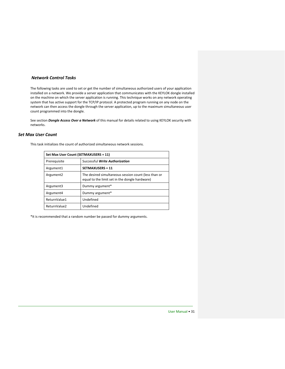#### <span id="page-30-0"></span>*Network Control Tasks*

The following tasks are used to set or get the number of simultaneous authorized users of your application installed on a network. We provide a server application that communicates with the KEYLOK dongle installed on the machine on which the server application is running. This technique works on any network operating system that has active support for the TCP/IP protocol. A protected program running on any node on the network can then access the dongle through the server application, up to the maximum simultaneous user count programmed into the dongle.

See section *Dongle Access Over a Network* of this manual for details related to using KEYLOK security with networks.

#### <span id="page-30-1"></span>*Set Max User Count*

This task initializes the count of authorized simultaneous network sessions.

| Set Max User Count (SETMAXUSERS = 11) |                                                                                                        |
|---------------------------------------|--------------------------------------------------------------------------------------------------------|
| Prereguisite                          | Successful Write Authorization                                                                         |
| Argument1                             | <b>SETMAXUSERS = 11</b>                                                                                |
| Argument <sub>2</sub>                 | The desired simultaneous session count (less than or<br>equal to the limit set in the dongle hardware) |
| Argument3                             | Dummy argument*                                                                                        |
| Argument4                             | Dummy argument*                                                                                        |
| ReturnValue1                          | Undefined                                                                                              |
| ReturnValue2                          | Undefined                                                                                              |

<span id="page-30-2"></span>\*It is recommended that a random number be passed for dummy arguments.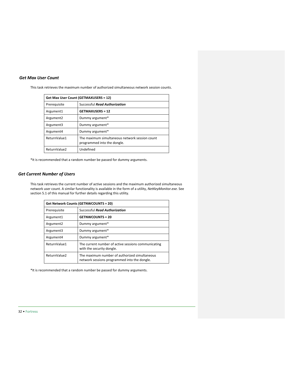## <span id="page-31-0"></span>*Get Max User Count*

This task retrieves the maximum number of authorized simultaneous network session counts.

| Get Max User Count (GETMAXUSERS = 12) |                                                                               |
|---------------------------------------|-------------------------------------------------------------------------------|
| Prerequisite                          | Successful Read Authorization                                                 |
| Argument1                             | <b>GETMAXUSERS = 12</b>                                                       |
| Argument <sub>2</sub>                 | Dummy argument*                                                               |
| Argument3                             | Dummy argument*                                                               |
| Argument4                             | Dummy argument*                                                               |
| ReturnValue1                          | The maximum simultaneous network session count<br>programmed into the dongle. |
| ReturnValue2                          | Undefined                                                                     |

\*It is recommended that a random number be passed for dummy arguments.

## <span id="page-31-1"></span>*Get Current Number of Users*

This task retrieves the current number of active sessions and the maximum authorized simultaneous network user count. A similar functionality is available in the form of a utility, *NetKeyMonitor.exe*. See section 5.1 of this manual for further details regarding this utility.

| <b>Get Network Counts (GETNWCOUNTS = 20)</b> |                                                                                               |  |
|----------------------------------------------|-----------------------------------------------------------------------------------------------|--|
| Prerequisite                                 | Successful Read Authorization                                                                 |  |
| Argument1                                    | <b>GETNWCOUNTS = 20</b>                                                                       |  |
| Argument <sub>2</sub>                        | Dummy argument*                                                                               |  |
| Argument3                                    | Dummy argument*                                                                               |  |
| Argument4                                    | Dummy argument*                                                                               |  |
| ReturnValue1                                 | The current number of active sessions communicating<br>with the security dongle.              |  |
| ReturnValue2                                 | The maximum number of authorized simultaneous<br>network sessions programmed into the dongle. |  |

<span id="page-31-2"></span>\*It is recommended that a random number be passed for dummy arguments.

32 • Fortress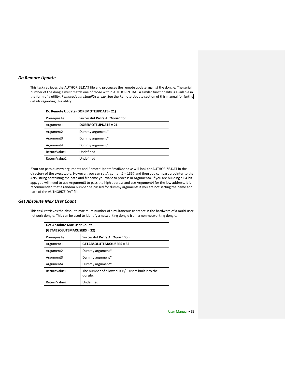#### *Do Remote Update*

This task retrieves the AUTHORIZE.DAT file and processes the remote update against the dongle. The serial number of the dongle must match one of those within AUTHORIZE.DAT A similar functionality is available in the form of a utility, *RemoteUpdateEmailUser.exe.* See the Remote Update section of this manual for further details regarding this utility.

| Do Remote Update (DOREMOTEUPDATE= 21) |                                |  |
|---------------------------------------|--------------------------------|--|
| Prerequisite                          | Successful Write Authorization |  |
| Argument1                             | <b>DOREMOTEUPDATE = 21</b>     |  |
| Argument <sub>2</sub>                 | Dummy argument*                |  |
| Argument3                             | Dummy argument*                |  |
| Argument4                             | Dummy argument*                |  |
| ReturnValue1                          | Undefined                      |  |
| ReturnValue2                          | Undefined                      |  |

\*You can pass dummy arguments and RemoteUpdateEmailUser.exe will look for AUTHORIZE.DAT in the directory of the executable. However, you can set Argument2 = 1357 and then you can pass a pointer to the ANSI string containing the path and filename you want to process in Argument4. If you are building a 64-bit app, you will need to use Argument3 to pass the high address and use Argument4 for the low address. It is recommended that a random number be passed for dummy arguments if you are not setting the name and path of the AUTHORIZE.DAT file.

#### <span id="page-32-1"></span>*Get Absolute Max User Count*

This task retrieves the absolute maximum number of simultaneous users set in the hardware of a multi-user network dongle. This can be used to identify a networking dongle from a non-networking dongle.

<span id="page-32-0"></span>

| <b>Get Absolute Max User Count</b><br>(GETABSOLUTEMAXUSERS = 32) |                                                              |  |
|------------------------------------------------------------------|--------------------------------------------------------------|--|
| Prerequisite                                                     | Successful Write Authorization                               |  |
| Argument1                                                        | <b>GETABSOLUTEMAXUSERS = 32</b>                              |  |
| Argument <sub>2</sub>                                            | Dummy argument*                                              |  |
| Argument3                                                        | Dummy argument*                                              |  |
| Argument4                                                        | Dummy argument*                                              |  |
| ReturnValue1                                                     | The number of allowed TCP/IP users built into the<br>dongle. |  |
| ReturnValue2                                                     | Undefined                                                    |  |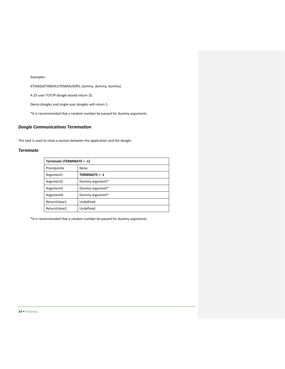Examples:

KTASK(GETABSOLUTEMAXUSERS, dummy, dummy, dummy)

A 25-user TCP/IP dongle would return 25.

Demo dongles and single-user dongles will return 1.

\*It is recommended that a random number be passed for dummy arguments.

## <span id="page-33-0"></span>*Dongle Communications Termination*

This task is used to close a session between the application and the dongle.

## <span id="page-33-1"></span>*Terminate*

| Terminate (TERMINATE = -1) |                       |  |
|----------------------------|-----------------------|--|
| Prerequisite               | None                  |  |
| Argument1                  | <b>TERMINATE = -1</b> |  |
| Argument <sub>2</sub>      | Dummy argument*       |  |
| Argument3                  | Dummy argument*       |  |
| Argument4                  | Dummy argument*       |  |
| ReturnValue1               | Undefined             |  |
| ReturnValue2               | Undefined             |  |

\*It is recommended that a random number be passed for dummy arguments.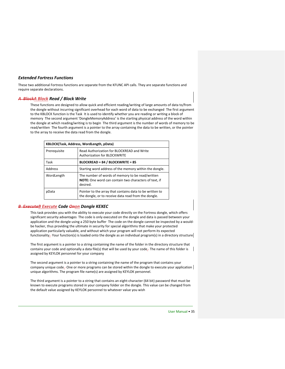#### <span id="page-34-0"></span>*Extended Fortress Functions*

These two additional Fortress functions are separate from the KFUNC API calls. They are separate functions and require separate declarations.

## <span id="page-34-1"></span>*A BlockA Block Read / Block Write*

These functions are designed to allow quick and efficient reading/writing of large amounts of data to/from the dongle without incurring significant overhead for each word of data to be exchanged The first argument to the KBLOCK function is the Task It is used to identify whether you are reading or writing a block of memory The second argument 'DongleMemoryAddress' is the starting physical address of the word within the dongle at which reading/writing is to begin The third argument is the number of words of memory to be read/written The fourth argument is a pointer to the array containing the data to be written, or the pointer to the array to receive the data read from the dongle.

| KBLOCK(Task, Address, WordLength, pData) |                                                                                                                       |  |
|------------------------------------------|-----------------------------------------------------------------------------------------------------------------------|--|
| Prerequisite                             | Read Authorization for BLOCKREAD and Write<br>Authorization for BLOCKWRITE                                            |  |
| Task                                     | <b>BLOCKREAD = 84 / BLOCKWRITE = 85</b>                                                                               |  |
| Address                                  | Starting word address of the memory within the dongle.                                                                |  |
| WordLength                               | The number of words of memory to be read/written<br>NOTE: One word can contain two characters of text, if<br>desired. |  |
| pData                                    | Pointer to the array that contains data to be written to<br>the dongle, or to receive data read from the dongle.      |  |

#### <span id="page-34-2"></span>*B ExecuteB Execute Code Onon Dongle KEXEC*

This task provides you with the ability to execute your code directly on the Fortress dongle, which offers significant security advantages The code is only executed on the dongle and data is passed between your application and the dongle using a 250 byte buffer The code on the dongle cannot be inspected by a wouldbe hacker, thus providing the ultimate in security for special algorithms that make your protected application particularly valuable, and without which your program will not perform its expected functionality<sub>-</sub> Your function(s) is loaded onto the dongle as an individual program(s) in a directory structure

The first argument is a pointer to a string containing the name of the folder in the directory structure that contains your code and optionally a data file(s) that will be used by your code. The name of this folder is assigned by KEYLOK personnel for your company

The second argument is a pointer to a string containing the name of the program that contains your company unique code. One or more programs can be stored within the dongle to execute your application unique algorithms. The program file name(s) are assigned by KEYLOK personnel.

The third argument is a pointer to a string that contains an eight-character (64 bit) password that must be known to execute programs stored in your company folder on the dongle. This value can be changed from the default value assigned by KEYLOK personnel to whatever value you wish

User Manual • 35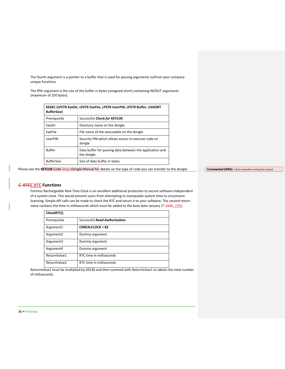The fourth argument is a pointer to a buffer that is used for passing arguments to/from your company unique functions.

The fifth argument is the size of the buffer in bytes (unsigned short) containing IN/OUT arguments (maximum of 250 bytes).

| KEXEC (LPSTR ExeDir, LPSTR ExeFile, LPSTR UserPIN, LPSTR Buffer, USHORT<br><b>BufferSize)</b> |                                                                        |  |
|-----------------------------------------------------------------------------------------------|------------------------------------------------------------------------|--|
| Prerequisite                                                                                  | Successful Check for KEYLOK                                            |  |
| FxeDir                                                                                        | Directory name on the dongle                                           |  |
| ExeFile                                                                                       | File name of the executable on the dongle                              |  |
| UserPIN                                                                                       | Security PIN which allows access to execute code on<br>dongle          |  |
| <b>Buffer</b>                                                                                 | Data buffer for passing data between the application and<br>the dongle |  |
| <b>BufferSize</b>                                                                             | Size of data buffer in bytes                                           |  |

Please see the *KEYLOK* Code Onon Dongle Manual for details on the type of code you can transfer to the dongle.

**Commented [RB4]:** I don't remember seeing this manual

## <span id="page-35-0"></span>*C RTCC RTC Functions*

Fortress Rechargeable Real Time Clock is an excellent additional protection to secure software independent of a system clock. This would prevent users from attempting to manipulate system time to circumvent licensing. Simple API calls can be made to check the RTC and return it to your software. The second return value contains the time in milliseconds which must be added to the base date January 1<sup>st</sup> 1990, 1990.

| CheckRTC()            |                                      |
|-----------------------|--------------------------------------|
| Prerequisite          | <b>Successful Read Authorization</b> |
| Argument1             | <b>CKREALCLOCK = 82</b>              |
| Argument <sub>2</sub> | Dummy argument                       |
| Argument3             | Dummy argument                       |
| Argument4             | Dummy argument                       |
| ReturnValue1          | RTC time in milliseconds             |
| ReturnValue2          | RTC time in milliseconds             |

ReturnValue2 must be multiplied by 65536 and then summed with ReturnValue1 to obtain the total number of milliseconds.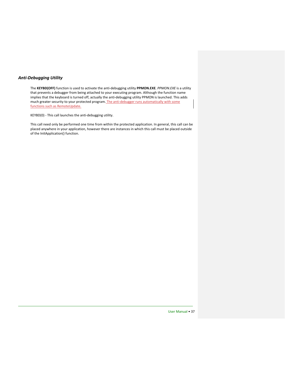## <span id="page-36-0"></span>*Anti-Debugging Utility*

The **KEYBD(OFF)** function is used to activate the anti-debugging utility **PPMON.EXE**. *PPMON.EXE* is a utility that prevents a debugger from being attached to your executing program. Although the function name implies that the keyboard is turned off, actually the anti-debugging utility PPMON is launched. This adds much greater security to your protected program. The anti-debugger runs automatically with some functions such as RemoteUpdate.

KEYBD(0) - This call launches the anti-debugging utility.

This call need only be performed one time from within the protected application. In general, this call can be placed anywhere in your application, however there are instances in which this call must be placed outside of the InitApplication() function.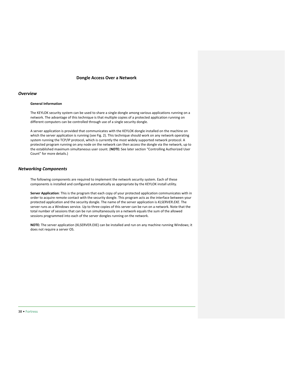#### **Dongle Access Over a Network**

#### <span id="page-37-1"></span><span id="page-37-0"></span>*Overview*

#### **General Information**

The KEYLOK security system can be used to share a single dongle among various applications running on a network. The advantage of this technique is that multiple copies of a protected application running on different computers can be controlled through use of a single security dongle.

A server application is provided that communicates with the KEYLOK dongle installed on the machine on which the server application is running (see Fig. 2). This technique should work on any network operating system running the TCP/IP protocol, which is currently the most widely supported network protocol. A protected program running on any node on the network can then access the dongle via the network, up to the established maximum simultaneous user count. (**NOTE:** See later section "Controlling Authorized User Count" for more details.)

#### <span id="page-37-2"></span>*Networking Components*

The following components are required to implement the network security system. Each of these components is installed and configured automatically as appropriate by the KEYLOK install utility.

**Server Application**: This is the program that each copy of your protected application communicates with in order to acquire remote contact with the security dongle. This program acts as the interface between your protected application and the security dongle. The name of the server application is *KLSERVER.EXE*. The server runs as a Windows service. Up to three copies of this server can be run on a network. Note that the total number of sessions that can be run simultaneously on a network equals the sum of the allowed sessions programmed into each of the server dongles running on the network.

**NOTE:** The server application (KLSERVER.EXE) can be installed and run on any machine running Windows; it does not require a server OS.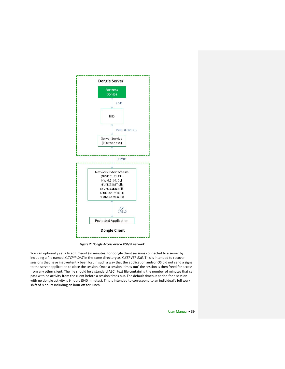

*Figure 2: Dongle Access over a TCP/IP network.*

You can optionally set a fixed timeout (in minutes) for dongle client sessions connected to a server by including a file named *KLTCPIP DAT* in the same directory as *KLSERVER EXE.* This is intended to recover sessions that have inadvertently been lost in such a way that the application and/or OS did not send a signal to the server application to close the session. Once a session 'times-out' the session is then freed for access from any other client. The file should be a standard ASCII text file containing the number of minutes that can pass with no activity from the client before a session times out. The default timeout period for a session with no dongle activity is 9 hours (540 minutes). This is intended to correspond to an individual's full work shift of 8 hours including an hour off for lunch.

User Manual • 39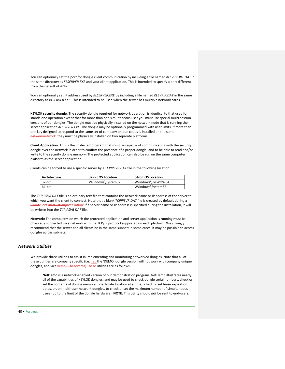You can optionally set the port for dongle client communication by including a file named *KLSVRPORT.DAT* in the same directory as *KLSERVER EXE* and your client application*.* This is intended to specify a port different from the default of 4242.

You can optionally set IP address used by *KLSERVER.EXE* by including a file named *KLSVRIP.DAT* in the same directory as *KLSERVER EXE.* This is intended to be used when the server has multiple network cards.

**KEYLOK security dongle**: The security dongle required for network operation is identical to that used for standalone operation except that for more than one simultaneous user you must use special multi-session versions of our dongles. The dongle must be physically installed on the network node that is running the server application *KLSERVER EXE.* The dongle may be optionally programmed with user limits. If more than one key designed to respond to the same set of company unique codes is installed on the same networknetwork, they must be physically installed on two separate platforms.

**Client Application**: This is the protected program that must be capable of communicating with the security dongle over the network in order to confirm the presence of a proper dongle, and to be able to read and/or write to the security dongle memory. The protected application can also be run on the same computer platform as the server application.

Clients can be forced to use a specific server by a *TCPIPSVR DAT* file in the following location:

| Architecture | 32-bit OS Location | 64-bit OS Location |
|--------------|--------------------|--------------------|
| 32-bit       | \Windows\System32  | \Windows\SysWOW64  |
| 64-bit       |                    | \Windows\System32  |

The *TCPIPSVR DAT* file is an ordinary text file that contains the network name or IP address of the server to which you want the client to connect. Note that a blank *TCPIPSVR DAT* file is created by default during a Clientclient installation; installation: if a server name or IP address is specified during the installation, it will be written into the *TCPIPSVR DAT* file.

**Network:** The computers on which the protected application and server application is running must be physically connected via a network with the TCP/IP protocol supported on each platform. We strongly recommend that the server and all clients be in the same subnet; in some cases, it may be possible to access dongles across subnets.

## <span id="page-39-0"></span>*Network Utilities*

We provide three utilities to assist in implementing and monitoring networked dongles. Note that all of these utilities are company specific (i.e. *i.e., the 'DEMO' dongle version will not work with company unique* dongles, and vice versa) Theseversa) These utilities are as follows:

**NetDemo** is a network-enabled version of our demonstration program. NetDemo illustrates nearly all of the capabilities of KEYLOK dongles, and may be used to check dongle serial numbers, check or set the contents of dongle memory (one 2-byte location at a time), check or set lease expiration dates, or, on multi-user network dongles, to check or set the maximum number of simultaneous users (up to the limit of the dongle hardware). **NOTE:** This utility should *not* be sent to end-users.

#### 40 • Fortress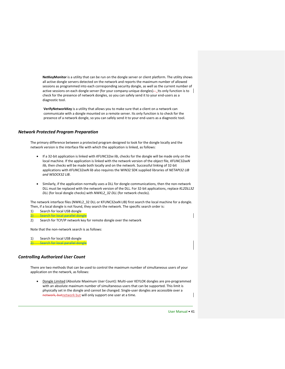**NetKeyMonitor** is a utility that can be run on the dongle server or client platform. The utility shows all active dongle servers detected on the network and reports the maximum number of allowed sessions as programmed into each corresponding security dongle, as well as the current number of active sessions on each dongle server (for your company-unique dongles)— Its only function is to check for the presence of network dongles, so you can safely send it to your end-users as a diagnostic tool.

**VerifyNetworkKey** is a utility that allows you to make sure that a client on a network can communicate with a dongle mounted on a remote server. Its only function is to check for the presence of a network dongle, so you can safely send it to your end-users as a diagnostic tool.

#### <span id="page-40-0"></span>*Network Protected Program Preparation*

The primary difference between a protected program designed to look for the dongle locally and the network version is the interface file with which the application is linked, as follows:

- If a 32-bit application is linked with *KFUNC32xx lib*, checks for the dongle will be made only on the local machine. If the application is linked with the network version of the object file, *KFUNC32xxN lib*, then checks will be made both locally and on the network. Successful linking of 32-bit applications with *KFUNC32xxN lib* also requires the WIN32 SDK supplied libraries of *NETAPI32 LIB and WSOCK32 LIB*.
- Similarly, if the application normally uses a DLL for dongle communications, then the non-network DLL must be replaced with the network version of the DLL. For 32-bit applications, replace *KL2DLL32 DLL* (for local dongle checks) with *NWKL2\_32 DLL* (for network checks).

The network interface files (NWKL2\_32 DLL or KFUNC32xxN LIB) first search the local machine for a dongle. Then, if a local dongle is not found, they search the network. The specific search order is:

- 1) Search for local USB dongle 2) Search for local parallel dongle
- 2) Search for TCP/IP network key for remote dongle over the network

Note that the non-network search is as follows:

1) Search for local USB dongle **2) Search for local parallel dongle** 

#### <span id="page-40-1"></span>*Controlling Authorized User Count*

There are two methods that can be used to control the maximum number of simultaneous users of your application on the network, as follows:

• Dongle Limited (Absolute Maximum User Count): Multi-user KEYLOK dongles are pre-programmed with an absolute maximum number of simultaneous users that can be supported. This limit is physically set in the dongle and cannot be changed. Single-user dongles are accessible over a network, butnetwork but will only support one user at a time.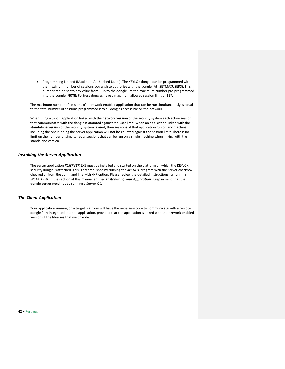• Programming Limited (Maximum Authorized Users): The KEYLOK dongle can be programmed with the maximum number of sessions you wish to authorize with the dongle (API SETMAXUSERS). This number can be set to any value from 1 up to the dongle-limited maximum number pre-programmed into the dongle. **NOTE:** Fortress dongles have a maximum allowed session limit of 127.

The maximum number of sessions of a network-enabled application that can be run simultaneously is equal to the total number of sessions programmed into all dongles accessible on the network.

When using a 32-bit application linked with the **network version** of the security system each active session that communicates with the dongle **is counted** against the user limit. When an application linked with the **standalone version** of the security system is used, then sessions of that application run on any machine including the one running the server application **will not be counted** against the session limit. There is no limit on the number of simultaneous sessions that can be run on a single machine when linking with the standalone version.

#### <span id="page-41-0"></span>*Installing the Server Application*

The server application *KLSERVER EXE* must be installed and started on the platform on which the KEYLOK security dongle is attached. This is accomplished by running the *INSTALL* program with the Server checkbox checked or from the command line with /NF option. Please review the detailed instructions for running *INSTALL EXE* in the section of this manual entitled *Distributing Your Application.* Keep in mind that the dongle-server need not be running a Server OS.

#### <span id="page-41-1"></span>*The Client Application*

Your application running on a target platform will have the necessary code to communicate with a remote dongle fully integrated into the application, provided that the application is linked with the network enabled version of the libraries that we provide.

42 • Fortress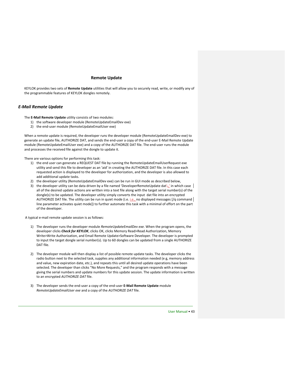#### **Remote Update**

<span id="page-42-0"></span>KEYLOK provides two sets of **Remote Update** utilities that will allow you to securely read, write, or modify any of the programmable features of KEYLOK dongles remotely.

#### <span id="page-42-1"></span>*E-Mail Remote Update*

The **E-Mail Remote Update** utility consists of two modules:

- 1) the software developer module (RemoteUpdateEmailDev exe)
- 2) the end-user module (RemoteUpdateEmailUser exe)

When a remote update is required, the developer runs the developer module (RemoteUpdateEmailDev exe) to generate an update file, AUTHORIZE DAT, and sends the end-user a copy of the end-user E-Mail Remote Update module (RemoteUpdateEmailUser exe) and a copy of the AUTHORIZE DAT file. The end-user runs the module and processes the received file against the dongle to update it.

There are various options for performing this task:

- 1) the end user can generate a REQUEST DAT file by running the RemoteUpdateEmailUserRequest exe utility and send this file to developer as an 'aid' in creating the AUTHORIZE DAT file. In this case each requested action is displayed to the developer for authorization, and the developer is also allowed to add additional update tasks.
- 2) the developer utility (RemoteUpdateEmailDev exe) can be run in GUI mode as described below,
- 3) the developer utility can be data driven by a file named 'DeveloperRemoteUpdate dat', in which case all of the desired update actions are written into a text file along with the target serial number(s) of the dongle(s) to be updated. The developer utility simply converts the input dat file into an encrypted AUTHORIZE DAT file. The utility can be run in quiet mode (i.e. *i.e., no displayed messages* [/q command | line parameter activates quiet mode]) to further automate this task with a minimal of effort on the part of the developer.

A typical e-mail remote update session is as follows:

- 1) The developer runs the developer module *RemoteUpdateEmailDev exe.* When the program opens, the developer clicks *Check for KEYLOK*, clicks OK, clicks Memory Read>Read Authorization, Memory Write>Write Authorization, and Email Remote Update>Software Developer. The developer is prompted to input the target dongle serial number(s). Up to 60 dongles can be updated from a single AUTHORIZE DAT file.
- 2) The developer module will then display a list of possible remote update tasks. The developer clicks the radio button next to the selected task, supplies any additional information needed (e g, memory address and value, new expiration date, etc.), and repeats this until all desired update operations have been selected. The developer than clicks "No More Requests," and the program responds with a message giving the serial numbers and update numbers for this update session. The update information is written to an encrypted *AUTHORIZE DAT* file.
- 3) The developer sends the end-user a copy of the end-user **E-Mail Remote Update** module *RemoteUpdateEmailUser exe* and a copy of the *AUTHORIZE DAT* file.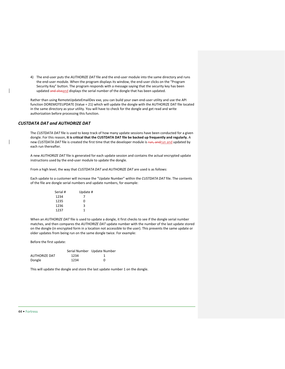4) The end-user puts the *AUTHORIZE DAT* file and the end-user module into the same directory and runs the end-user module. When the program displays its window, the end-user clicks on the "Program Security Key" button. The program responds with a message saying that the security key has been updated and alsoand displays the serial number of the dongle that has been updated.

Rather than using RemoteUpdateEmailDev exe, you can build your own end-user utility and use the API function DOREMOTEUPDATE (Value = 21) which will update the dongle with the AUTHORIZE DAT file located in the same directory as your utility. You will have to check for the dongle and get read and write authorization before processing this function.

#### *CUSTDATA DAT and AUTHORIZE DAT*

The *CUSTDATA DAT* file is used to keep track of how many update sessions have been conducted for a given dongle. For this reason, **it is critical that the CUSTDATA DAT file be backed up frequently and regularly.** A new *CUSTDATA DAT* file is created the first time that the developer module is run, andrun and updated by each run thereafter.

A new *AUTHORIZE DAT* file is generated for each update session and contains the actual encrypted update instructions used by the end-user module to update the dongle.

From a high level, the way that *CUSTDATA DAT* and *AUTHORIZE DAT* are used is as follows:

Each update to a customer will increase the "Update Number" within the *CUSTDATA DAT* file. The contents of the file are dongle serial numbers and update numbers, for example:

| Serial # | Update # |  |
|----------|----------|--|
| 1234     |          |  |
| 1235     | ŋ        |  |
| 1236     | ς        |  |
| 1237     | 1        |  |

When an *AUTHORIZE DAT* file is used to update a dongle, it first checks to see if the dongle serial number matches, and then compares the *AUTHORIZE DAT* update number with the number of the last update stored on the dongle (in encrypted form in a location not accessible to the user). This prevents the same update or older updates from being run on the same dongle twice. For example:

Before the first update:

|               |      | Serial Number Update Number |
|---------------|------|-----------------------------|
| AUTHORIZE DAT | 1234 |                             |
| Dongle        | 1234 | n                           |

This will update the dongle and store the last update number 1 on the dongle.

#### 44 • Fortress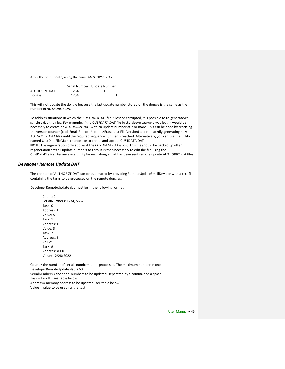After the first update, using the same *AUTHORIZE DAT*:

|               |      | Serial Number Update Number |
|---------------|------|-----------------------------|
| AUTHORIZE DAT | 1234 |                             |
| Dongle        | 1234 |                             |

This will not update the dongle because the last update number stored on the dongle is the same as the number in *AUTHORIZE DAT*.

To address situations in which the *CUSTDATA DAT* file is lost or corrupted, it is possible to re-generate/resynchronize the files. For example, if the *CUSTDATA DAT* file in the above example was lost, it would be necessary to create an *AUTHORIZE DAT* with an update number of 2 or more. This can be done by resetting the version counter (click Email Remote Update>Erase Last File Version) and repeatedly generating new *AUTHORIZE DAT* files until the required sequence number is reached. Alternatively, you can use the utility named CustDataFileMaintenance exe to create and update CUSTDATA DAT.

**NOTE:** File regeneration only applies if the *CUSTDATA DAT* is lost. This file should be backed up often regeneration sets all update numbers to zero. It is then necessary to edit the file using the CustDataFileMaintenance exe utility for each dongle that has been sent remote update AUTHORIZE dat files.

#### *Developer Remote Update DAT*

The creation of AUTHORIZE DAT can be automated by providing RemoteUpdateEmailDev exe with a text file containing the tasks to be processed on the remote dongles.

DeveloperRemoteUpdate dat must be in the following format:

Count: 2 SerialNumbers: 1234, 5667 Task: 0 Address: 1 Value: 5 Task: 1 Address: 15 Value: 3 Task: 2 Address: 9 Value: 1 Task: 9 Address: 4000 Value: 12/28/2022 Count = the number of serials numbers to be processed. The maximum number in one

DeveloperRemoteUpdate dat is 60 SerialNumbers = the serial numbers to be updated, separated by a comma and a space Task = Task ID (see table below) Address = memory address to be updated (see table below) Value = value to be used for the task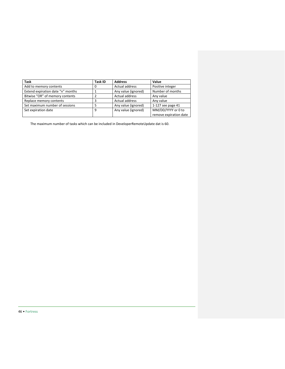| <b>Task</b>                       | <b>Task ID</b> | <b>Address</b>      | Value                  |
|-----------------------------------|----------------|---------------------|------------------------|
| Add to memory contents            | 0              | Actual address      | Positive integer       |
| Extend expiration date "n" months |                | Any value (ignored) | Number of months       |
| Bitwise "OR" of memory contents   |                | Actual address      | Any value              |
| Replace memory contents           | 3              | Actual address      | Any value              |
| Set maximum number of sessions    | 5              | Any value (ignored) | 1-127 see page 41      |
| Set expiration date               | 9              | Any value (ignored) | MM/DD/YYYY or 0 to     |
|                                   |                |                     | remove expiration date |

The maximum number of tasks which can be included in DeveloperRemoteUpdate dat is 60.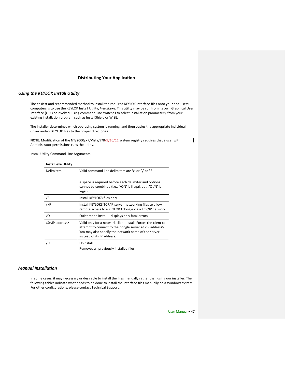#### **Distributing Your Application**

#### <span id="page-46-1"></span><span id="page-46-0"></span>*Using the KEYLOK Install Utility*

The easiest and recommended method to install the required KEYLOK interface files onto your end-users' computers is to use the KEYLOK Install Utility, *Install.exe*. This utility may be run from its own Graphical User Interface (GUI) or invoked, using command-line switches to select installation parameters, from your existing installation program such as InstallShield or WISE.

The installer determines which operating system is running, and then copies the appropriate individual driver and/or KEYLOK files to the proper directories.

**NOTE:** Modification of the NT/2000/XP/Vista/7/8/9/10/11 system registry requires that a user with Administrator permissions runs the utility.

 $\overline{\phantom{a}}$ 

Install Utility Command Line Arguments

| <b>Install.exe Utility</b> |                                                                                                                                                                                                                          |  |
|----------------------------|--------------------------------------------------------------------------------------------------------------------------------------------------------------------------------------------------------------------------|--|
| Delimiters                 | Valid command line delimiters are '/' or '\' or '-'                                                                                                                                                                      |  |
|                            | A space is required before each delimiter and options<br>cannot be combined (i.e., '/QN' is illegal, but '/Q /N' is<br>legal).                                                                                           |  |
| /F                         | Install KEYLOK3 files only                                                                                                                                                                                               |  |
| /NF                        | Install KEYLOK3 TCP/IP server networking files to allow<br>remote access to a KEYLOK3 dongle via a TCP/IP network.                                                                                                       |  |
| /Q                         | Quiet mode install – displays only fatal errors                                                                                                                                                                          |  |
| /S: <ip address=""></ip>   | Valid only for a network client install. Forces the client to<br>attempt to connect to the dongle server at <ip address="">.<br/>You may also specify the network name of the server<br/>instead of its IP address.</ip> |  |
| /U                         | Uninstall                                                                                                                                                                                                                |  |
|                            | Removes all previously installed files                                                                                                                                                                                   |  |

#### <span id="page-46-2"></span>*Manual Installation*

In some cases, it may necessary or desirable to install the files manually rather than using our installer. The following tables indicate what needs to be done to install the interface files manually on a Windows system. For other configurations, please contact Technical Support.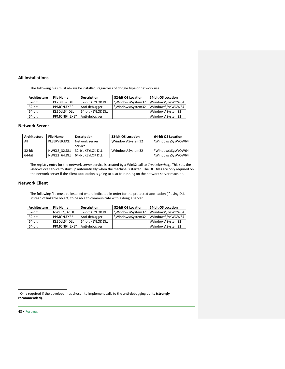#### <span id="page-47-0"></span>**All Installations**

The following files must always be installed, regardless of dongle type or network use.

| Architecture | <b>File Name</b>       | <b>Description</b> | 32-bit OS Location | <b>64-bit OS Location</b> |
|--------------|------------------------|--------------------|--------------------|---------------------------|
| 32-bit       | KL2DLL32.DLL           | 32-bit KEYLOK DLL  | \Windows\System32  | \Windows\SysWOW64         |
| 32-bit       | PPMON.EXE <sup>*</sup> | Anti-debugger      | \Windows\System32  | \Windows\SysWOW64         |
| 64-bit       | KL2DLL64.DLL           | 64-bit KEYLOK DLL  |                    | \Windows\System32         |
| 64-bit       | PPMON64.EXE*           | Anti-debugger      |                    | \Windows\System32         |

## <span id="page-47-1"></span>**Network Server**

| Architecture | <b>File Name</b> | <b>Description</b> | 32-bit OS Location | <b>64-bit OS Location</b> |
|--------------|------------------|--------------------|--------------------|---------------------------|
| All          | KLSERVER.EXE     | Network server     | \Windows\System32  | \Windows\SysWOW64         |
|              |                  | service            |                    |                           |
| 32-bit       | NWKL2 32.DLL     | 32-bit KEYLOK DLL  | \Windows\System32  | \Windows\SysWOW64         |
| 64-bit       | NWKL2 64.DLL     | 64-bit KEYLOK DLL  |                    | \Windows\SysWOW64         |

The registry entry for the network server service is created by a Win32 call to *CreateService()*. This sets the *klserver.exe* service to start up automatically when the machine is started. The DLL files are only required on the network server if the client application is going to also be running on the network server machine.

#### <span id="page-47-2"></span>**Network Client**

The following file must be installed where indicated in order for the protected application (if using DLL instead of linkable object) to be able to communicate with a dongle server.

| Architecture | <b>File Name</b> | <b>Description</b> | 32-bit OS Location | <b>64-bit OS Location</b> |
|--------------|------------------|--------------------|--------------------|---------------------------|
| 32-bit       | NWKL2 32.DLL     | 32-bit KEYLOK DLL  | \Windows\System32  | \Windows\SysWOW64         |
| 32-bit       | PPMON.EXE*       | Anti-debugger      | \Windows\System32  | \Windows\SysWOW64         |
| 64-bit       | KL2DLL64.DLL     | 64-bit KEYLOK DLL  |                    | \Windows\System32         |
| 64-bit       | PPMON64.EXE*     | Anti-debugger      |                    | \Windows\System32         |

<span id="page-47-3"></span>48 • Fortress

<sup>\*</sup> Only required if the developer has chosen to implement calls to the anti-debugging utility **(strongly recommended).**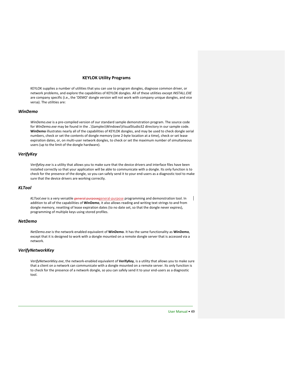#### **KEYLOK Utility Programs**

<span id="page-48-0"></span>KEYLOK supplies a number of utilities that you can use to program dongles, diagnose common driver, or network problems, and explore the capabilities of KEYLOK dongles. All of these utilities except *INSTALL.EXE* are company specific (i.e., the 'DEMO' dongle version will not work with company unique dongles, and vice versa). The utilities are:

#### <span id="page-48-1"></span>*WinDemo*

*WinDemo.exe* is a pre-compiled version of our standard sample demonstration program. The source code for *WinDemo.exe* may be found in the ..\Samples\Windows\VisualStudio32 directory in our sample code. **WinDemo** illustrates nearly all of the capabilities of KEYLOK dongles, and may be used to check dongle serial numbers, check or set the contents of dongle memory (one 2-byte location at a time), check or set lease expiration dates, or, on multi-user network dongles, to check or set the maximum number of simultaneous users (up to the limit of the dongle hardware).

## <span id="page-48-2"></span>*VerifyKey*

*VerifyKey.exe* is a utility that allows you to make sure that the device drivers and interface files have been installed correctly so that your application will be able to communicate with a dongle. Its only function is to check for the presence of the dongle, so you can safely send it to your end-users as a diagnostic tool to make sure that the device drivers are working correctly.

#### <span id="page-48-3"></span>*KLTool*

*KLTool.exe* is a very versatile general purposegeneral-purpose programming and demonstration tool. In addition to all of the capabilities of **WinDemo**, it also allows reading and writing text strings to and from dongle memory, resetting of lease expiration dates (to no date set, so that the dongle never expires), programming of multiple keys using stored profiles.

#### <span id="page-48-4"></span>*NetDemo*

*NetDemo.exe* is the network-enabled equivalent of **WinDemo**. It has the same functionality as **WinDemo**, except that it is designed to work with a dongle mounted on a remote dongle server that is accessed via a network.

#### <span id="page-48-5"></span>*VerifyNetworkKey*

*VerifyNetworkKey.exe*, the network-enabled equivalent of **VerifyKey**, is a utility that allows you to make sure that a client on a network can communicate with a dongle mounted on a remote server. Its only function is to check for the presence of a network dongle, so you can safely send it to your end-users as a diagnostic tool.

User Manual • 49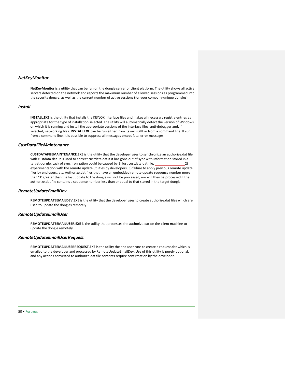#### <span id="page-49-0"></span>*NetKeyMonitor*

**NetKeyMonitor** is a utility that can be run on the dongle server or client platform. The utility shows all active servers detected on the network and reports the maximum number of allowed sessions as programmed into the security dongle, as well as the current number of active sessions (for your company-unique dongles).

#### <span id="page-49-1"></span>*Install*

**INSTALL.EXE** is the utility that installs the KEYLOK interface files and makes all necessary registry entries as appropriate for the type of installation selected. The utility will automatically detect the version of Windows on which it is running and install the appropriate versions of the interface files, anti-debugger and, if selected, networking files. **INSTALL.EXE** can be run either from its own GUI or from a command line. If run from a command line, it is possible to suppress all messages except fatal error messages.

#### <span id="page-49-2"></span>*CustDataFileMaintenance*

**CUSTDATAFILEMAINTENANCE.EXE** is the utility that the developer uses to synchronize an authorize.dat file with custdata.dat. It is used to correct custdata.dat if it has gone out of sync with information stored in a target dongle. Lack of synchronization could be caused by 1) lost custdata.dat file, 20 (2) experimentation with the remote update utilities by developers, 3) failure to apply previous remote update files by end-users, etc. Authorize.dat files that have an embedded remote update sequence number more than '3' greater than the last update to the dongle will not be processed, nor will they be processed if the authorize.dat file contains a sequence number less than or equal to that stored in the target dongle.

#### <span id="page-49-3"></span>*RemoteUpdateEmailDev*

**REMOTEUPDATEEMAILDEV.EXE** is the utility that the developer uses to create authorize.dat files which are used to update the dongles remotely.

#### <span id="page-49-4"></span>*RemoteUpdateEmailUser*

**REMOTEUPDATEEMAILUSER.EXE** is the utility that processes the authorize.dat on the client machine to update the dongle remotely.

#### <span id="page-49-5"></span>*RemoteUpdateEmailUserRequest*

**REMOTEUPDATEEMAILUSERREQUEST.EXE** is the utility the end user runs to create a request.dat which is emailed to the developer and processed by RemoteUpdateEmailDev. Use of this utility is purely optional, and any actions converted to authorize.dat file contents require confirmation by the developer.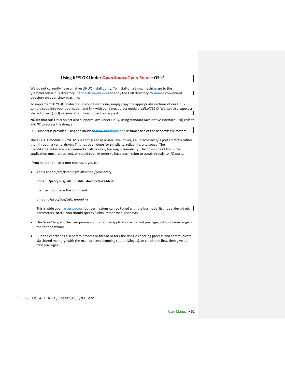#### **Using KEYLOK Under Open SourceOpen-Source OS's[1](#page-50-1)**

<span id="page-50-0"></span>We do not currently have a native LINUX install utility. To install on a Linux machine, go to the \SampleCode\Linux directory in the SDK on the CD-and copy the USB directory to some a convenient directory on your Linux machine.

To implement KEYLOK protection in your Linux code, simply copy the appropriate sections of our Linux sample code into your application and link with our Linux object module, *KFUNC32 O.* We can also supply a shared object (-SO) version of our Linux object on request.

**NOTE:** that our Linux object also supports Java under Linux, using standard Java Native Interface (JNI) calls to *KFUNC* to access the dongle.

USB support is provided using the libusb **library**, and library and assumes use of the usbdevfs file system.

The KEYLOK module *KFUNC32 O* is configured as a user-level driver, i.e., it accesses I/O ports directly rather than through a kernel driver. This has been done for simplicity, reliability, and speed. The user->kernel interface was deemed an all too easy hacking vulnerability. The downside of this is the application must run as root, or setuid root, in order to have permission to speak directly to I/O ports.

If you need to run as a non-root user, you can:

• Add a line to /etc/fstab right after the /proc entry:

#### **none /proc/bus/usb usbfs devmode=0666 0 0**

then, as root, issue the command

#### **umount /proc/bus/usb; mount -a**

This is wide open  $\frac{3}{4}$  accessaccess, but permissions can be tuned with the busmode, listmode, devgid etc  $\Box$ parameters. **NOTE:** you should specify 'usbfs' rather than 'usbdevfs'

- Use 'sudo' to grant the user permission to run the application with root privilege, without knowledge of the root password.
- Run the checker as a separate process or thread or fork the dongle checking process and communicate via shared memory (with the main process dropping root privileges), or check one first, then give up root privileges.

<span id="page-50-1"></span><sup>&</sup>lt;sup>1</sup> E. G., OS A, LINUX, FreeBSD, QNX, etc.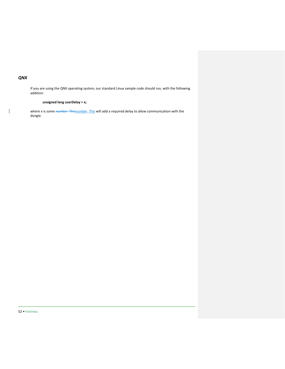## <span id="page-51-0"></span>*QNX*

 $\mathsf{I}$ 

If you are using the QNX operating system, our standard Linux sample code should run, with the following addition:

## **unsigned long userDelay = x;**

where x is some number Thisnumber. This will add a required delay to allow communication with the dongle.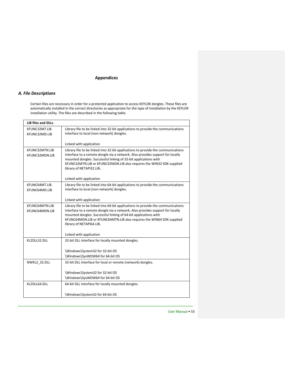## **Appendices**

## <span id="page-52-1"></span><span id="page-52-0"></span>*A. File Descriptions*

 $\overline{1}$ 

Certain files are necessary in order for a protected application to access KEYLOK dongles. These files are automatically installed in the correct directories as appropriate for the type of installation by the KEYLOK installation utility. The files are described in the following table.

| <b>LIB files and DLLs</b>        |                                                                                                                                                                                                                                                                                                                                           |  |
|----------------------------------|-------------------------------------------------------------------------------------------------------------------------------------------------------------------------------------------------------------------------------------------------------------------------------------------------------------------------------------------|--|
| KFUNC32MT.LIB<br>KFUNC32MD.LIB   | Library file to be linked into 32-bit applications to provide the communications<br>interface to local (non-network) dongles.                                                                                                                                                                                                             |  |
|                                  | Linked with application                                                                                                                                                                                                                                                                                                                   |  |
| KFUNC32MTN.LIB<br>KFUNC32MDN.LIB | Library file to be linked into 32-bit applications to provide the communications<br>interface to a remote dongle via a network. Also provides support for locally<br>mounted dongles. Successful linking of 32-bit applications with<br>KFUNC32MTN.LIB or KFUNC32MDN.LIB also requires the WIN32 SDK supplied<br>library of NETAPI32.LIB. |  |
|                                  | Linked with application                                                                                                                                                                                                                                                                                                                   |  |
| KFUNC64MT.LIB<br>KFUNC64MD.LIB   | Library file to be linked into 64-bit applications to provide the communications<br>interface to local (non-network) dongles.                                                                                                                                                                                                             |  |
|                                  | Linked with application                                                                                                                                                                                                                                                                                                                   |  |
| KFUNC64MTN.LIB<br>KFUNC64MDN.LIB | Library file to be linked into 64-bit applications to provide the communications<br>interface to a remote dongle via a network. Also provides support for locally<br>mounted dongles. Successful linking of 64-bit applications with<br>KFUNC64MDN.LIB or KFUNC64MTN.LIB also requires the WIN64 SDK supplied<br>library of NETAPI64.LIB. |  |
|                                  | Linked with application                                                                                                                                                                                                                                                                                                                   |  |
| KL2DLL32.DLL                     | 32-bit DLL interface for locally mounted dongles.                                                                                                                                                                                                                                                                                         |  |
|                                  | \Windows\System32 for 32-bit OS                                                                                                                                                                                                                                                                                                           |  |
|                                  | \Windows\SysWOW64 for 64-bit OS                                                                                                                                                                                                                                                                                                           |  |
| NWKL2 32.DLL                     | 32-bit DLL interface for local or remote (network) dongles.                                                                                                                                                                                                                                                                               |  |
|                                  | \Windows\System32 for 32-bit OS                                                                                                                                                                                                                                                                                                           |  |
|                                  | \Windows\SysWOW64 for 64-bit OS                                                                                                                                                                                                                                                                                                           |  |
| KL2DLL64.DLL                     | 64-bit DLL interface for locally mounted dongles.                                                                                                                                                                                                                                                                                         |  |
|                                  | \Windows\System32 for 64-bit OS                                                                                                                                                                                                                                                                                                           |  |

User Manual • 53

 $\overline{\mathbf{1}}$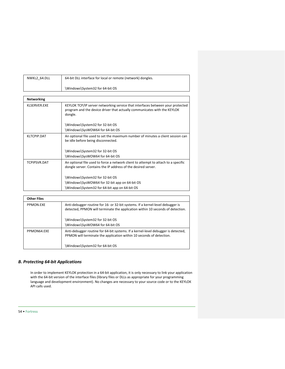| NWKL2 64.DLL | 64-bit DLL interface for local or remote (network) dongles. |
|--------------|-------------------------------------------------------------|
|              | \Windows\System32 for 64-bit OS                             |
|              |                                                             |

| <b>Networking</b> |                                                                                                                                                                       |  |
|-------------------|-----------------------------------------------------------------------------------------------------------------------------------------------------------------------|--|
| KI SERVER EXE     | KEYLOK TCP/IP server networking service that interfaces between your protected<br>program and the device driver that actually communicates with the KEYLOK<br>dongle. |  |
|                   | \Windows\System32 for 32-bit OS                                                                                                                                       |  |
|                   | \Windows\SysWOW64 for 64-bit OS                                                                                                                                       |  |
| KLTCPIP.DAT       | An optional file used to set the maximum number of minutes a client session can<br>be idle before being disconnected.                                                 |  |
|                   | \Windows\System32 for 32-bit OS                                                                                                                                       |  |
|                   | \Windows\SysWOW64 for 64-bit OS                                                                                                                                       |  |
| TCPIPSVR.DAT      | An optional file used to force a network client to attempt to attach to a specific<br>dongle server. Contains the IP address of the desired server.                   |  |
|                   | \Windows\System32 for 32-bit OS                                                                                                                                       |  |
|                   | \Windows\SysWOW64 for 32-bit app on 64-bit OS                                                                                                                         |  |
|                   | \Windows\System32 for 64-bit app on 64-bit OS                                                                                                                         |  |

| <b>Other Files</b> |                                                                                                                                                                  |
|--------------------|------------------------------------------------------------------------------------------------------------------------------------------------------------------|
| PPMON.EXE          | Anti-debugger routine for 16- or 32-bit systems. If a kernel-level debugger is<br>detected, PPMON will terminate the application within 10 seconds of detection. |
|                    | \Windows\System32 for 32-bit OS<br>Windows\SysWOW64 for 64-bit OS                                                                                                |
| PPMON64.EXE        | Anti-debugger routine for 64-bit systems. If a kernel-level debugger is detected,<br>PPMON will terminate the application within 10 seconds of detection.        |
|                    | Windows\System32 for 64-bit OS\                                                                                                                                  |

## <span id="page-53-0"></span>*B. Protecting 64-bit Applications*

In order to implement KEYLOK protection in a 64-bit application, it is only necessary to link your application with the 64-bit version of the interface files (library files or DLLs as appropriate for your programming language and development environment). No changes are necessary to your source code or to the KEYLOK API calls used.

54 • Fortress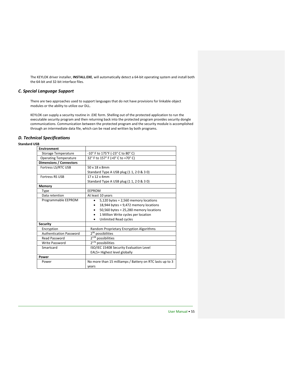The KEYLOK driver installer, **INSTALL.EXE**, will automatically detect a 64-bit operating system and install both the 64-bit and 32-bit interface files.

## <span id="page-54-0"></span>*C. Special Language Support*

There are two approaches used to support languages that do not have provisions for linkable object modules or the ability to utilize our DLL.

KEYLOK can supply a security routine in .EXE form. Shelling out of the protected application to run the executable security program and then returning back into the protected program provides security dongle communications. Communication between the protected program and the security module is accomplished through an intermediate data file, which can be read and written by both programs.

## <span id="page-54-1"></span>*D. Technical Specifications*

#### **Standard USB**

| <b>Environment</b>             |                                                          |  |
|--------------------------------|----------------------------------------------------------|--|
| <b>Storage Temperature</b>     | -10° F to 175°F (-23° C to 80° C)                        |  |
| <b>Operating Temperature</b>   | 32° F to 157° F (+0° C to +70° C)                        |  |
| <b>Dimensions / Connectors</b> |                                                          |  |
| Fortress LS/RTC USB            | 50 x 18 x 8mm                                            |  |
|                                | Standard Type A USB plug (1 1, 2 0 & 3 0)                |  |
| <b>Fortress RS USB</b>         | 17 x 12 x 4mm                                            |  |
|                                | Standard Type A USB plug (1 1, 2 0 & 3 0)                |  |
| Memory                         |                                                          |  |
| <b>Type</b>                    | <b>EEPROM</b>                                            |  |
| Data retention                 | At least 10 years                                        |  |
| Programmable EEPROM            | $5,120$ bytes = 2,560 memory locations                   |  |
|                                | 18,944 bytes = $9,472$ memory locations                  |  |
|                                | $50,560$ bytes = 25,280 memory locations                 |  |
|                                | 1 Million Write cycles per location                      |  |
|                                | <b>Unlimited Read cycles</b>                             |  |
| <b>Security</b>                |                                                          |  |
| Encryption                     | Random Proprietary Encryption Algorithms                 |  |
| <b>Authentication Password</b> | $2^{96}$ possibilities                                   |  |
| <b>Read Password</b>           | 2 <sup>128</sup> possibilities                           |  |
| Write Password                 | $2^{176}$ possibilities                                  |  |
| Smartcard                      | ISO/IEC 15408 Security Evaluation Level                  |  |
|                                | EAL5+ Highest level globally                             |  |
| Power                          |                                                          |  |
| Power                          | No more than 15 milliamps / Battery on RTC lasts up to 3 |  |
|                                | years                                                    |  |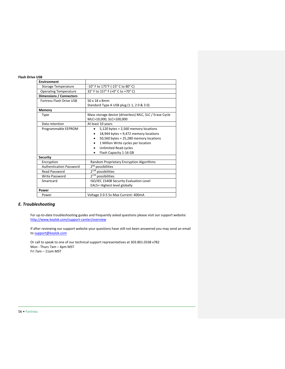## **Flash Drive USB**

| <b>Environment</b>             |                                                         |  |
|--------------------------------|---------------------------------------------------------|--|
| <b>Storage Temperature</b>     | -10° F to 175°F (-23° C to 80° C)                       |  |
| <b>Operating Temperature</b>   | 32° F to 157° F (+0° C to +70° C)                       |  |
| <b>Dimensions / Connectors</b> |                                                         |  |
| Fortress Flash Drive USB       | 50 x 18 x 8mm                                           |  |
|                                | Standard Type A USB plug (1 1, 2 0 & 3 0)               |  |
| <b>Memory</b>                  |                                                         |  |
| Type                           | Mass storage device (driverless) MLC, SLC / Erase Cycle |  |
|                                | MLC>10,000, SLC>100,000                                 |  |
| Data retention                 | At least 10 years                                       |  |
| Programmable EEPROM            | $5,120$ bytes = 2,560 memory locations                  |  |
|                                | 18,944 bytes = $9,472$ memory locations                 |  |
|                                | $50,560$ bytes = 25,280 memory locations<br>٠           |  |
|                                | 1 Million Write cycles per location                     |  |
|                                | Unlimited Read cycles                                   |  |
|                                | Flash Capacity 1-16 GB<br>٠                             |  |
| <b>Security</b>                |                                                         |  |
| Encryption                     | Random Proprietary Encryption Algorithms                |  |
| <b>Authentication Password</b> | 2 <sup>96</sup> possibilities                           |  |
| <b>Read Password</b>           | 2 <sup>128</sup> possibilities                          |  |
| <b>Write Password</b>          | $2^{176}$ possibilities                                 |  |
| Smartcard                      | ISO/IEC 15408 Security Evaluation Level                 |  |
|                                | EAL5+ Highest level globally                            |  |
| Power                          |                                                         |  |
| Power                          | Voltage 3 0-5 5v Max Current: 400mA                     |  |

## <span id="page-55-0"></span>*E. Troubleshooting*

For up-to-date troubleshooting guides and frequently asked questions please visit our support website: <http://www.keylok.com/support-center/overview>

If after reviewing our support website your questions have still not been answered you may send an email t[o support@keylok.com](mailto:support@keylok.com)

Or call to speak to one of our technical support representatives at 303.801.0338 x782 Mon - Thurs 7am – 4pm MST Fri 7am – 11am MST

#### 56 • Fortress